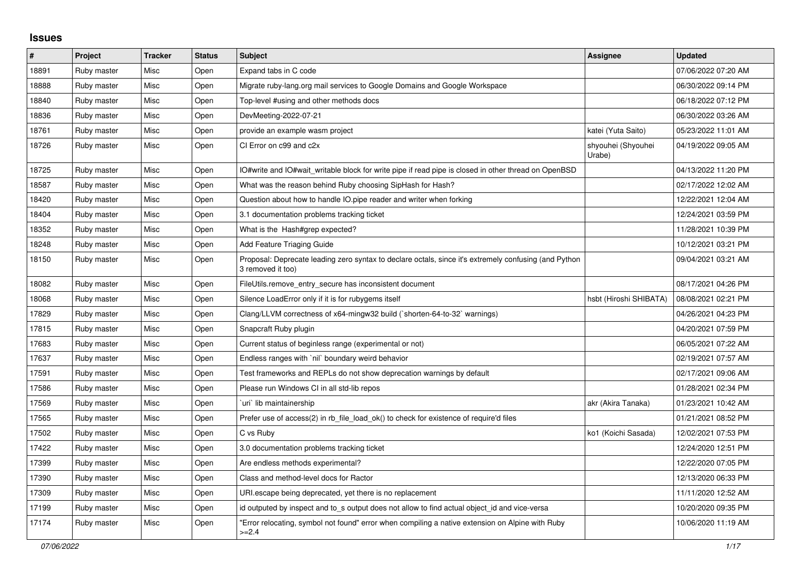## **Issues**

| #     | Project     | <b>Tracker</b> | <b>Status</b> | <b>Subject</b>                                                                                                             | Assignee                     | <b>Updated</b>      |
|-------|-------------|----------------|---------------|----------------------------------------------------------------------------------------------------------------------------|------------------------------|---------------------|
| 18891 | Ruby master | Misc           | Open          | Expand tabs in C code                                                                                                      |                              | 07/06/2022 07:20 AM |
| 18888 | Ruby master | Misc           | Open          | Migrate ruby-lang.org mail services to Google Domains and Google Workspace                                                 |                              | 06/30/2022 09:14 PM |
| 18840 | Ruby master | Misc           | Open          | Top-level #using and other methods docs                                                                                    |                              | 06/18/2022 07:12 PM |
| 18836 | Ruby master | Misc           | Open          | DevMeeting-2022-07-21                                                                                                      |                              | 06/30/2022 03:26 AM |
| 18761 | Ruby master | Misc           | Open          | provide an example wasm project                                                                                            | katei (Yuta Saito)           | 05/23/2022 11:01 AM |
| 18726 | Ruby master | Misc           | Open          | CI Error on c99 and c2x                                                                                                    | shyouhei (Shyouhei<br>Urabe) | 04/19/2022 09:05 AM |
| 18725 | Ruby master | Misc           | Open          | IO#write and IO#wait writable block for write pipe if read pipe is closed in other thread on OpenBSD                       |                              | 04/13/2022 11:20 PM |
| 18587 | Ruby master | Misc           | Open          | What was the reason behind Ruby choosing SipHash for Hash?                                                                 |                              | 02/17/2022 12:02 AM |
| 18420 | Ruby master | Misc           | Open          | Question about how to handle IO.pipe reader and writer when forking                                                        |                              | 12/22/2021 12:04 AM |
| 18404 | Ruby master | Misc           | Open          | 3.1 documentation problems tracking ticket                                                                                 |                              | 12/24/2021 03:59 PM |
| 18352 | Ruby master | Misc           | Open          | What is the Hash#grep expected?                                                                                            |                              | 11/28/2021 10:39 PM |
| 18248 | Ruby master | Misc           | Open          | Add Feature Triaging Guide                                                                                                 |                              | 10/12/2021 03:21 PM |
| 18150 | Ruby master | Misc           | Open          | Proposal: Deprecate leading zero syntax to declare octals, since it's extremely confusing (and Python<br>3 removed it too) |                              | 09/04/2021 03:21 AM |
| 18082 | Ruby master | Misc           | Open          | FileUtils.remove entry secure has inconsistent document                                                                    |                              | 08/17/2021 04:26 PM |
| 18068 | Ruby master | Misc           | Open          | Silence LoadError only if it is for rubygems itself                                                                        | hsbt (Hiroshi SHIBATA)       | 08/08/2021 02:21 PM |
| 17829 | Ruby master | Misc           | Open          | Clang/LLVM correctness of x64-mingw32 build (`shorten-64-to-32` warnings)                                                  |                              | 04/26/2021 04:23 PM |
| 17815 | Ruby master | Misc           | Open          | Snapcraft Ruby plugin                                                                                                      |                              | 04/20/2021 07:59 PM |
| 17683 | Ruby master | Misc           | Open          | Current status of beginless range (experimental or not)                                                                    |                              | 06/05/2021 07:22 AM |
| 17637 | Ruby master | Misc           | Open          | Endless ranges with `nil` boundary weird behavior                                                                          |                              | 02/19/2021 07:57 AM |
| 17591 | Ruby master | Misc           | Open          | Test frameworks and REPLs do not show deprecation warnings by default                                                      |                              | 02/17/2021 09:06 AM |
| 17586 | Ruby master | Misc           | Open          | Please run Windows CI in all std-lib repos                                                                                 |                              | 01/28/2021 02:34 PM |
| 17569 | Ruby master | Misc           | Open          | uri lib maintainership                                                                                                     | akr (Akira Tanaka)           | 01/23/2021 10:42 AM |
| 17565 | Ruby master | Misc           | Open          | Prefer use of access(2) in rb_file_load_ok() to check for existence of require'd files                                     |                              | 01/21/2021 08:52 PM |
| 17502 | Ruby master | Misc           | Open          | C vs Ruby                                                                                                                  | ko1 (Koichi Sasada)          | 12/02/2021 07:53 PM |
| 17422 | Ruby master | Misc           | Open          | 3.0 documentation problems tracking ticket                                                                                 |                              | 12/24/2020 12:51 PM |
| 17399 | Ruby master | Misc           | Open          | Are endless methods experimental?                                                                                          |                              | 12/22/2020 07:05 PM |
| 17390 | Ruby master | Misc           | Open          | Class and method-level docs for Ractor                                                                                     |                              | 12/13/2020 06:33 PM |
| 17309 | Ruby master | Misc           | Open          | URI escape being deprecated, yet there is no replacement                                                                   |                              | 11/11/2020 12:52 AM |
| 17199 | Ruby master | Misc           | Open          | id outputed by inspect and to_s output does not allow to find actual object_id and vice-versa                              |                              | 10/20/2020 09:35 PM |
| 17174 | Ruby master | Misc           | Open          | 'Error relocating, symbol not found" error when compiling a native extension on Alpine with Ruby<br>$>=2.4$                |                              | 10/06/2020 11:19 AM |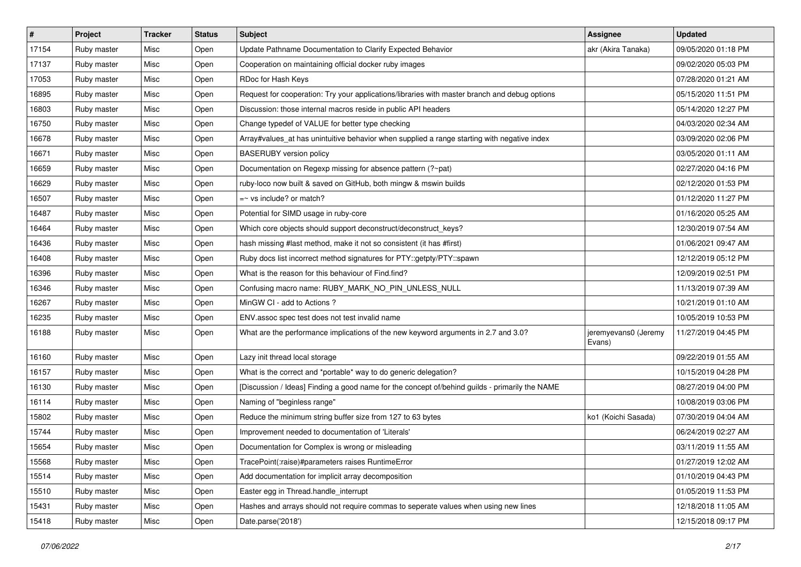| $\vert$ # | Project     | <b>Tracker</b> | <b>Status</b> | Subject                                                                                        | Assignee                       | <b>Updated</b>      |
|-----------|-------------|----------------|---------------|------------------------------------------------------------------------------------------------|--------------------------------|---------------------|
| 17154     | Ruby master | Misc           | Open          | Update Pathname Documentation to Clarify Expected Behavior                                     | akr (Akira Tanaka)             | 09/05/2020 01:18 PM |
| 17137     | Ruby master | Misc           | Open          | Cooperation on maintaining official docker ruby images                                         |                                | 09/02/2020 05:03 PM |
| 17053     | Ruby master | Misc           | Open          | RDoc for Hash Keys                                                                             |                                | 07/28/2020 01:21 AM |
| 16895     | Ruby master | Misc           | Open          | Request for cooperation: Try your applications/libraries with master branch and debug options  |                                | 05/15/2020 11:51 PM |
| 16803     | Ruby master | Misc           | Open          | Discussion: those internal macros reside in public API headers                                 |                                | 05/14/2020 12:27 PM |
| 16750     | Ruby master | Misc           | Open          | Change typedef of VALUE for better type checking                                               |                                | 04/03/2020 02:34 AM |
| 16678     | Ruby master | Misc           | Open          | Array#values_at has unintuitive behavior when supplied a range starting with negative index    |                                | 03/09/2020 02:06 PM |
| 16671     | Ruby master | Misc           | Open          | <b>BASERUBY</b> version policy                                                                 |                                | 03/05/2020 01:11 AM |
| 16659     | Ruby master | Misc           | Open          | Documentation on Regexp missing for absence pattern (?~pat)                                    |                                | 02/27/2020 04:16 PM |
| 16629     | Ruby master | Misc           | Open          | ruby-loco now built & saved on GitHub, both mingw & mswin builds                               |                                | 02/12/2020 01:53 PM |
| 16507     | Ruby master | Misc           | Open          | $=$ vs include? or match?                                                                      |                                | 01/12/2020 11:27 PM |
| 16487     | Ruby master | Misc           | Open          | Potential for SIMD usage in ruby-core                                                          |                                | 01/16/2020 05:25 AM |
| 16464     | Ruby master | Misc           | Open          | Which core objects should support deconstruct/deconstruct keys?                                |                                | 12/30/2019 07:54 AM |
| 16436     | Ruby master | Misc           | Open          | hash missing #last method, make it not so consistent (it has #first)                           |                                | 01/06/2021 09:47 AM |
| 16408     | Ruby master | Misc           | Open          | Ruby docs list incorrect method signatures for PTY::getpty/PTY::spawn                          |                                | 12/12/2019 05:12 PM |
| 16396     | Ruby master | Misc           | Open          | What is the reason for this behaviour of Find.find?                                            |                                | 12/09/2019 02:51 PM |
| 16346     | Ruby master | Misc           | Open          | Confusing macro name: RUBY_MARK_NO_PIN_UNLESS_NULL                                             |                                | 11/13/2019 07:39 AM |
| 16267     | Ruby master | Misc           | Open          | MinGW CI - add to Actions ?                                                                    |                                | 10/21/2019 01:10 AM |
| 16235     | Ruby master | Misc           | Open          | ENV assoc spec test does not test invalid name                                                 |                                | 10/05/2019 10:53 PM |
| 16188     | Ruby master | Misc           | Open          | What are the performance implications of the new keyword arguments in 2.7 and 3.0?             | jeremyevans0 (Jeremy<br>Evans) | 11/27/2019 04:45 PM |
| 16160     | Ruby master | Misc           | Open          | Lazy init thread local storage                                                                 |                                | 09/22/2019 01:55 AM |
| 16157     | Ruby master | Misc           | Open          | What is the correct and *portable* way to do generic delegation?                               |                                | 10/15/2019 04:28 PM |
| 16130     | Ruby master | Misc           | Open          | [Discussion / Ideas] Finding a good name for the concept of/behind guilds - primarily the NAME |                                | 08/27/2019 04:00 PM |
| 16114     | Ruby master | Misc           | Open          | Naming of "beginless range"                                                                    |                                | 10/08/2019 03:06 PM |
| 15802     | Ruby master | Misc           | Open          | Reduce the minimum string buffer size from 127 to 63 bytes                                     | ko1 (Koichi Sasada)            | 07/30/2019 04:04 AM |
| 15744     | Ruby master | Misc           | Open          | Improvement needed to documentation of 'Literals'                                              |                                | 06/24/2019 02:27 AM |
| 15654     | Ruby master | Misc           | Open          | Documentation for Complex is wrong or misleading                                               |                                | 03/11/2019 11:55 AM |
| 15568     | Ruby master | Misc           | Open          | TracePoint(:raise)#parameters raises RuntimeError                                              |                                | 01/27/2019 12:02 AM |
| 15514     | Ruby master | Misc           | Open          | Add documentation for implicit array decomposition                                             |                                | 01/10/2019 04:43 PM |
| 15510     | Ruby master | Misc           | Open          | Easter egg in Thread.handle_interrupt                                                          |                                | 01/05/2019 11:53 PM |
| 15431     | Ruby master | Misc           | Open          | Hashes and arrays should not require commas to seperate values when using new lines            |                                | 12/18/2018 11:05 AM |
| 15418     | Ruby master | Misc           | Open          | Date.parse('2018')                                                                             |                                | 12/15/2018 09:17 PM |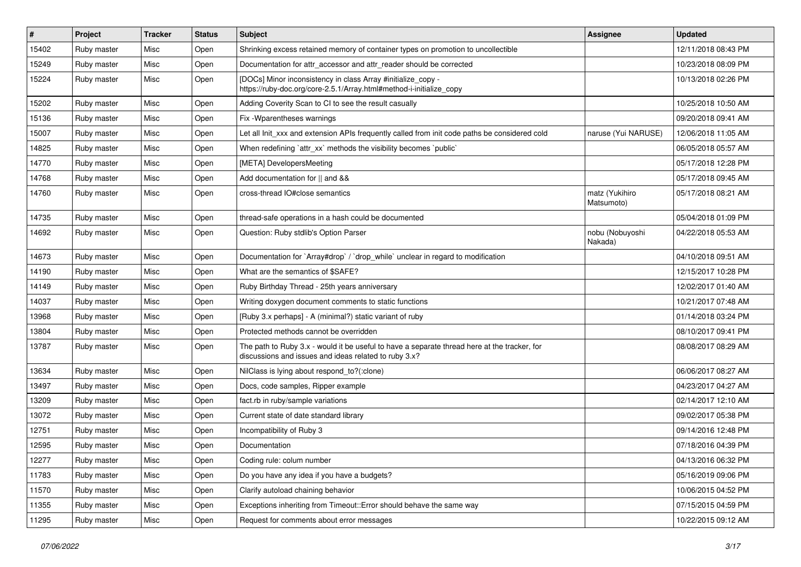| $\vert$ # | Project     | <b>Tracker</b> | <b>Status</b> | <b>Subject</b>                                                                                                                                        | Assignee                     | <b>Updated</b>      |
|-----------|-------------|----------------|---------------|-------------------------------------------------------------------------------------------------------------------------------------------------------|------------------------------|---------------------|
| 15402     | Ruby master | Misc           | Open          | Shrinking excess retained memory of container types on promotion to uncollectible                                                                     |                              | 12/11/2018 08:43 PM |
| 15249     | Ruby master | Misc           | Open          | Documentation for attr_accessor and attr_reader should be corrected                                                                                   |                              | 10/23/2018 08:09 PM |
| 15224     | Ruby master | Misc           | Open          | [DOCs] Minor inconsistency in class Array #initialize_copy -<br>https://ruby-doc.org/core-2.5.1/Array.html#method-i-initialize_copy                   |                              | 10/13/2018 02:26 PM |
| 15202     | Ruby master | Misc           | Open          | Adding Coverity Scan to CI to see the result casually                                                                                                 |                              | 10/25/2018 10:50 AM |
| 15136     | Ruby master | Misc           | Open          | Fix - Wparentheses warnings                                                                                                                           |                              | 09/20/2018 09:41 AM |
| 15007     | Ruby master | Misc           | Open          | Let all Init_xxx and extension APIs frequently called from init code paths be considered cold                                                         | naruse (Yui NARUSE)          | 12/06/2018 11:05 AM |
| 14825     | Ruby master | Misc           | Open          | When redefining 'attr_xx' methods the visibility becomes 'public'                                                                                     |                              | 06/05/2018 05:57 AM |
| 14770     | Ruby master | Misc           | Open          | [META] DevelopersMeeting                                                                                                                              |                              | 05/17/2018 12:28 PM |
| 14768     | Ruby master | Misc           | Open          | Add documentation for    and &&                                                                                                                       |                              | 05/17/2018 09:45 AM |
| 14760     | Ruby master | Misc           | Open          | cross-thread IO#close semantics                                                                                                                       | matz (Yukihiro<br>Matsumoto) | 05/17/2018 08:21 AM |
| 14735     | Ruby master | Misc           | Open          | thread-safe operations in a hash could be documented                                                                                                  |                              | 05/04/2018 01:09 PM |
| 14692     | Ruby master | Misc           | Open          | Question: Ruby stdlib's Option Parser                                                                                                                 | nobu (Nobuyoshi<br>Nakada)   | 04/22/2018 05:53 AM |
| 14673     | Ruby master | Misc           | Open          | Documentation for `Array#drop` / `drop_while` unclear in regard to modification                                                                       |                              | 04/10/2018 09:51 AM |
| 14190     | Ruby master | Misc           | Open          | What are the semantics of \$SAFE?                                                                                                                     |                              | 12/15/2017 10:28 PM |
| 14149     | Ruby master | Misc           | Open          | Ruby Birthday Thread - 25th years anniversary                                                                                                         |                              | 12/02/2017 01:40 AM |
| 14037     | Ruby master | Misc           | Open          | Writing doxygen document comments to static functions                                                                                                 |                              | 10/21/2017 07:48 AM |
| 13968     | Ruby master | Misc           | Open          | [Ruby 3.x perhaps] - A (minimal?) static variant of ruby                                                                                              |                              | 01/14/2018 03:24 PM |
| 13804     | Ruby master | Misc           | Open          | Protected methods cannot be overridden                                                                                                                |                              | 08/10/2017 09:41 PM |
| 13787     | Ruby master | Misc           | Open          | The path to Ruby 3.x - would it be useful to have a separate thread here at the tracker, for<br>discussions and issues and ideas related to ruby 3.x? |                              | 08/08/2017 08:29 AM |
| 13634     | Ruby master | Misc           | Open          | NilClass is lying about respond to?(:clone)                                                                                                           |                              | 06/06/2017 08:27 AM |
| 13497     | Ruby master | Misc           | Open          | Docs, code samples, Ripper example                                                                                                                    |                              | 04/23/2017 04:27 AM |
| 13209     | Ruby master | Misc           | Open          | fact.rb in ruby/sample variations                                                                                                                     |                              | 02/14/2017 12:10 AM |
| 13072     | Ruby master | Misc           | Open          | Current state of date standard library                                                                                                                |                              | 09/02/2017 05:38 PM |
| 12751     | Ruby master | Misc           | Open          | Incompatibility of Ruby 3                                                                                                                             |                              | 09/14/2016 12:48 PM |
| 12595     | Ruby master | Misc           | Open          | Documentation                                                                                                                                         |                              | 07/18/2016 04:39 PM |
| 12277     | Ruby master | Misc           | Open          | Coding rule: colum number                                                                                                                             |                              | 04/13/2016 06:32 PM |
| 11783     | Ruby master | Misc           | Open          | Do you have any idea if you have a budgets?                                                                                                           |                              | 05/16/2019 09:06 PM |
| 11570     | Ruby master | Misc           | Open          | Clarify autoload chaining behavior                                                                                                                    |                              | 10/06/2015 04:52 PM |
| 11355     | Ruby master | Misc           | Open          | Exceptions inheriting from Timeout::Error should behave the same way                                                                                  |                              | 07/15/2015 04:59 PM |
| 11295     | Ruby master | Misc           | Open          | Request for comments about error messages                                                                                                             |                              | 10/22/2015 09:12 AM |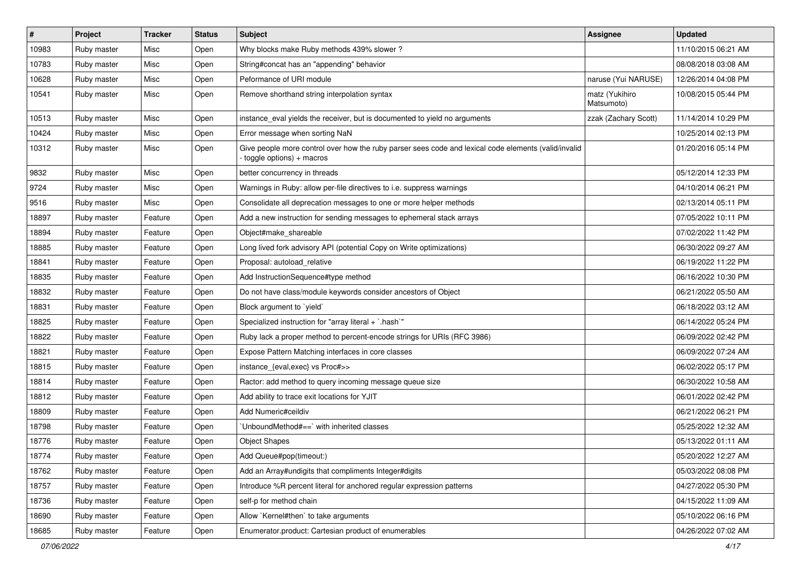| $\vert$ # | Project     | <b>Tracker</b> | <b>Status</b> | <b>Subject</b>                                                                                                                   | <b>Assignee</b>              | <b>Updated</b>      |
|-----------|-------------|----------------|---------------|----------------------------------------------------------------------------------------------------------------------------------|------------------------------|---------------------|
| 10983     | Ruby master | Misc           | Open          | Why blocks make Ruby methods 439% slower?                                                                                        |                              | 11/10/2015 06:21 AM |
| 10783     | Ruby master | Misc           | Open          | String#concat has an "appending" behavior                                                                                        |                              | 08/08/2018 03:08 AM |
| 10628     | Ruby master | Misc           | Open          | Peformance of URI module                                                                                                         | naruse (Yui NARUSE)          | 12/26/2014 04:08 PM |
| 10541     | Ruby master | Misc           | Open          | Remove shorthand string interpolation syntax                                                                                     | matz (Yukihiro<br>Matsumoto) | 10/08/2015 05:44 PM |
| 10513     | Ruby master | Misc           | Open          | instance_eval yields the receiver, but is documented to yield no arguments                                                       | zzak (Zachary Scott)         | 11/14/2014 10:29 PM |
| 10424     | Ruby master | Misc           | Open          | Error message when sorting NaN                                                                                                   |                              | 10/25/2014 02:13 PM |
| 10312     | Ruby master | Misc           | Open          | Give people more control over how the ruby parser sees code and lexical code elements (valid/invalid<br>toggle options) + macros |                              | 01/20/2016 05:14 PM |
| 9832      | Ruby master | Misc           | Open          | better concurrency in threads                                                                                                    |                              | 05/12/2014 12:33 PM |
| 9724      | Ruby master | Misc           | Open          | Warnings in Ruby: allow per-file directives to i.e. suppress warnings                                                            |                              | 04/10/2014 06:21 PM |
| 9516      | Ruby master | Misc           | Open          | Consolidate all deprecation messages to one or more helper methods                                                               |                              | 02/13/2014 05:11 PM |
| 18897     | Ruby master | Feature        | Open          | Add a new instruction for sending messages to ephemeral stack arrays                                                             |                              | 07/05/2022 10:11 PM |
| 18894     | Ruby master | Feature        | Open          | Object#make shareable                                                                                                            |                              | 07/02/2022 11:42 PM |
| 18885     | Ruby master | Feature        | Open          | Long lived fork advisory API (potential Copy on Write optimizations)                                                             |                              | 06/30/2022 09:27 AM |
| 18841     | Ruby master | Feature        | Open          | Proposal: autoload_relative                                                                                                      |                              | 06/19/2022 11:22 PM |
| 18835     | Ruby master | Feature        | Open          | Add InstructionSequence#type method                                                                                              |                              | 06/16/2022 10:30 PM |
| 18832     | Ruby master | Feature        | Open          | Do not have class/module keywords consider ancestors of Object                                                                   |                              | 06/21/2022 05:50 AM |
| 18831     | Ruby master | Feature        | Open          | Block argument to 'yield'                                                                                                        |                              | 06/18/2022 03:12 AM |
| 18825     | Ruby master | Feature        | Open          | Specialized instruction for "array literal + `.hash`"                                                                            |                              | 06/14/2022 05:24 PM |
| 18822     | Ruby master | Feature        | Open          | Ruby lack a proper method to percent-encode strings for URIs (RFC 3986)                                                          |                              | 06/09/2022 02:42 PM |
| 18821     | Ruby master | Feature        | Open          | Expose Pattern Matching interfaces in core classes                                                                               |                              | 06/09/2022 07:24 AM |
| 18815     | Ruby master | Feature        | Open          | instance_{eval,exec} vs Proc#>>                                                                                                  |                              | 06/02/2022 05:17 PM |
| 18814     | Ruby master | Feature        | Open          | Ractor: add method to query incoming message queue size                                                                          |                              | 06/30/2022 10:58 AM |
| 18812     | Ruby master | Feature        | Open          | Add ability to trace exit locations for YJIT                                                                                     |                              | 06/01/2022 02:42 PM |
| 18809     | Ruby master | Feature        | Open          | Add Numeric#ceildiv                                                                                                              |                              | 06/21/2022 06:21 PM |
| 18798     | Ruby master | Feature        | Open          | UnboundMethod#==` with inherited classes                                                                                         |                              | 05/25/2022 12:32 AM |
| 18776     | Ruby master | Feature        | Open          | <b>Object Shapes</b>                                                                                                             |                              | 05/13/2022 01:11 AM |
| 18774     | Ruby master | Feature        | Open          | Add Queue#pop(timeout:)                                                                                                          |                              | 05/20/2022 12:27 AM |
| 18762     | Ruby master | Feature        | Open          | Add an Array#undigits that compliments Integer#digits                                                                            |                              | 05/03/2022 08:08 PM |
| 18757     | Ruby master | Feature        | Open          | Introduce %R percent literal for anchored regular expression patterns                                                            |                              | 04/27/2022 05:30 PM |
| 18736     | Ruby master | Feature        | Open          | self-p for method chain                                                                                                          |                              | 04/15/2022 11:09 AM |
| 18690     | Ruby master | Feature        | Open          | Allow `Kernel#then` to take arguments                                                                                            |                              | 05/10/2022 06:16 PM |
| 18685     | Ruby master | Feature        | Open          | Enumerator.product: Cartesian product of enumerables                                                                             |                              | 04/26/2022 07:02 AM |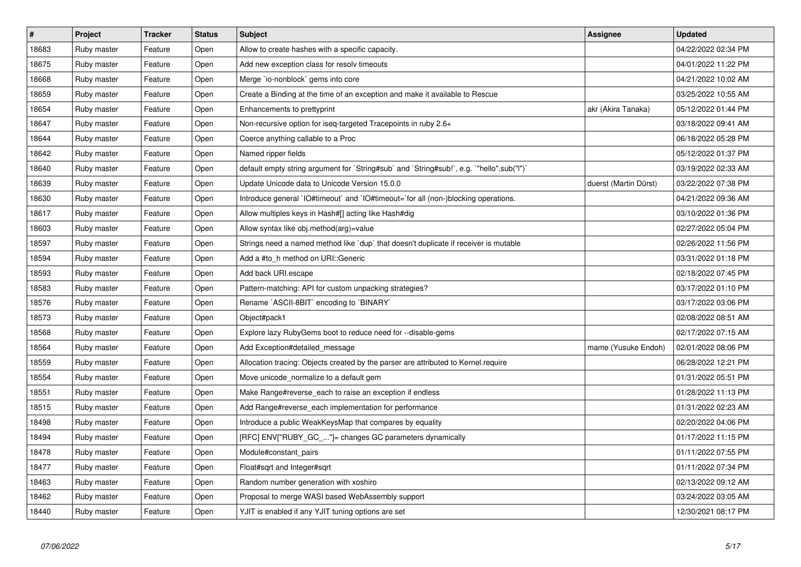| $\vert$ # | Project     | <b>Tracker</b> | <b>Status</b> | <b>Subject</b>                                                                            | Assignee              | <b>Updated</b>      |
|-----------|-------------|----------------|---------------|-------------------------------------------------------------------------------------------|-----------------------|---------------------|
| 18683     | Ruby master | Feature        | Open          | Allow to create hashes with a specific capacity.                                          |                       | 04/22/2022 02:34 PM |
| 18675     | Ruby master | Feature        | Open          | Add new exception class for resolv timeouts                                               |                       | 04/01/2022 11:22 PM |
| 18668     | Ruby master | Feature        | Open          | Merge `io-nonblock` gems into core                                                        |                       | 04/21/2022 10:02 AM |
| 18659     | Ruby master | Feature        | Open          | Create a Binding at the time of an exception and make it available to Rescue              |                       | 03/25/2022 10:55 AM |
| 18654     | Ruby master | Feature        | Open          | Enhancements to prettyprint                                                               | akr (Akira Tanaka)    | 05/12/2022 01:44 PM |
| 18647     | Ruby master | Feature        | Open          | Non-recursive option for iseq-targeted Tracepoints in ruby 2.6+                           |                       | 03/18/2022 09:41 AM |
| 18644     | Ruby master | Feature        | Open          | Coerce anything callable to a Proc                                                        |                       | 06/18/2022 05:28 PM |
| 18642     | Ruby master | Feature        | Open          | Named ripper fields                                                                       |                       | 05/12/2022 01:37 PM |
| 18640     | Ruby master | Feature        | Open          | default empty string argument for `String#sub` and `String#sub!`, e.g. `"hello".sub("I")` |                       | 03/19/2022 02:33 AM |
| 18639     | Ruby master | Feature        | Open          | Update Unicode data to Unicode Version 15.0.0                                             | duerst (Martin Dürst) | 03/22/2022 07:38 PM |
| 18630     | Ruby master | Feature        | Open          | Introduce general `IO#timeout` and `IO#timeout=`for all (non-)blocking operations.        |                       | 04/21/2022 09:36 AM |
| 18617     | Ruby master | Feature        | Open          | Allow multiples keys in Hash#[] acting like Hash#dig                                      |                       | 03/10/2022 01:36 PM |
| 18603     | Ruby master | Feature        | Open          | Allow syntax like obj.method(arg)=value                                                   |                       | 02/27/2022 05:04 PM |
| 18597     | Ruby master | Feature        | Open          | Strings need a named method like `dup` that doesn't duplicate if receiver is mutable      |                       | 02/26/2022 11:56 PM |
| 18594     | Ruby master | Feature        | Open          | Add a #to h method on URI::Generic                                                        |                       | 03/31/2022 01:18 PM |
| 18593     | Ruby master | Feature        | Open          | Add back URI.escape                                                                       |                       | 02/18/2022 07:45 PM |
| 18583     | Ruby master | Feature        | Open          | Pattern-matching: API for custom unpacking strategies?                                    |                       | 03/17/2022 01:10 PM |
| 18576     | Ruby master | Feature        | Open          | Rename `ASCII-8BIT` encoding to `BINARY`                                                  |                       | 03/17/2022 03:06 PM |
| 18573     | Ruby master | Feature        | Open          | Object#pack1                                                                              |                       | 02/08/2022 08:51 AM |
| 18568     | Ruby master | Feature        | Open          | Explore lazy RubyGems boot to reduce need for --disable-gems                              |                       | 02/17/2022 07:15 AM |
| 18564     | Ruby master | Feature        | Open          | Add Exception#detailed message                                                            | mame (Yusuke Endoh)   | 02/01/2022 08:06 PM |
| 18559     | Ruby master | Feature        | Open          | Allocation tracing: Objects created by the parser are attributed to Kernel.require        |                       | 06/28/2022 12:21 PM |
| 18554     | Ruby master | Feature        | Open          | Move unicode_normalize to a default gem                                                   |                       | 01/31/2022 05:51 PM |
| 18551     | Ruby master | Feature        | Open          | Make Range#reverse_each to raise an exception if endless                                  |                       | 01/28/2022 11:13 PM |
| 18515     | Ruby master | Feature        | Open          | Add Range#reverse_each implementation for performance                                     |                       | 01/31/2022 02:23 AM |
| 18498     | Ruby master | Feature        | Open          | Introduce a public WeakKeysMap that compares by equality                                  |                       | 02/20/2022 04:06 PM |
| 18494     | Ruby master | Feature        | Open          | [RFC] ENV["RUBY_GC_"]= changes GC parameters dynamically                                  |                       | 01/17/2022 11:15 PM |
| 18478     | Ruby master | Feature        | Open          | Module#constant pairs                                                                     |                       | 01/11/2022 07:55 PM |
| 18477     | Ruby master | Feature        | Open          | Float#sqrt and Integer#sqrt                                                               |                       | 01/11/2022 07:34 PM |
| 18463     | Ruby master | Feature        | Open          | Random number generation with xoshiro                                                     |                       | 02/13/2022 09:12 AM |
| 18462     | Ruby master | Feature        | Open          | Proposal to merge WASI based WebAssembly support                                          |                       | 03/24/2022 03:05 AM |
| 18440     | Ruby master | Feature        | Open          | YJIT is enabled if any YJIT tuning options are set                                        |                       | 12/30/2021 08:17 PM |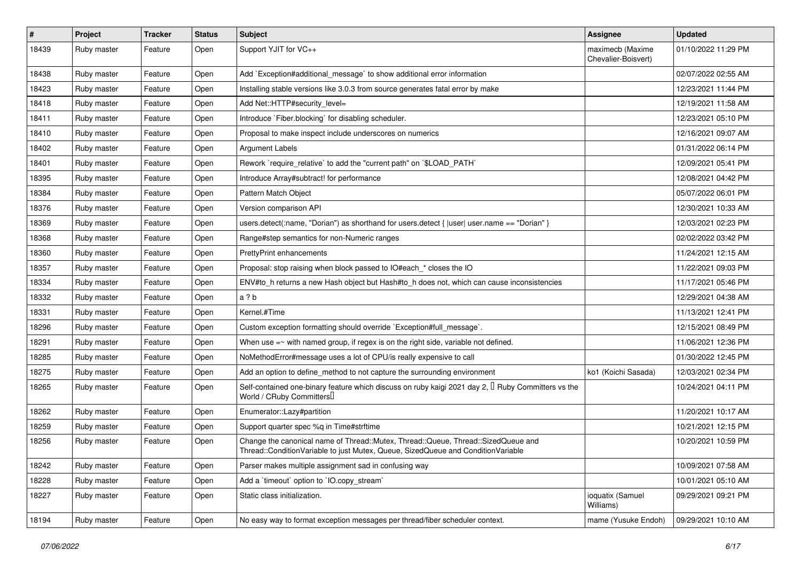| #     | Project     | <b>Tracker</b> | <b>Status</b> | <b>Subject</b>                                                                                                                                                        | Assignee                                | <b>Updated</b>      |
|-------|-------------|----------------|---------------|-----------------------------------------------------------------------------------------------------------------------------------------------------------------------|-----------------------------------------|---------------------|
| 18439 | Ruby master | Feature        | Open          | Support YJIT for VC++                                                                                                                                                 | maximecb (Maxime<br>Chevalier-Boisvert) | 01/10/2022 11:29 PM |
| 18438 | Ruby master | Feature        | Open          | Add `Exception#additional_message` to show additional error information                                                                                               |                                         | 02/07/2022 02:55 AM |
| 18423 | Ruby master | Feature        | Open          | Installing stable versions like 3.0.3 from source generates fatal error by make                                                                                       |                                         | 12/23/2021 11:44 PM |
| 18418 | Ruby master | Feature        | Open          | Add Net::HTTP#security_level=                                                                                                                                         |                                         | 12/19/2021 11:58 AM |
| 18411 | Ruby master | Feature        | Open          | Introduce `Fiber.blocking` for disabling scheduler.                                                                                                                   |                                         | 12/23/2021 05:10 PM |
| 18410 | Ruby master | Feature        | Open          | Proposal to make inspect include underscores on numerics                                                                                                              |                                         | 12/16/2021 09:07 AM |
| 18402 | Ruby master | Feature        | Open          | Argument Labels                                                                                                                                                       |                                         | 01/31/2022 06:14 PM |
| 18401 | Ruby master | Feature        | Open          | Rework `require_relative` to add the "current path" on `\$LOAD_PATH`                                                                                                  |                                         | 12/09/2021 05:41 PM |
| 18395 | Ruby master | Feature        | Open          | Introduce Array#subtract! for performance                                                                                                                             |                                         | 12/08/2021 04:42 PM |
| 18384 | Ruby master | Feature        | Open          | Pattern Match Object                                                                                                                                                  |                                         | 05/07/2022 06:01 PM |
| 18376 | Ruby master | Feature        | Open          | Version comparison API                                                                                                                                                |                                         | 12/30/2021 10:33 AM |
| 18369 | Ruby master | Feature        | Open          | users.detect(:name, "Dorian") as shorthand for users.detect {  user  user.name == "Dorian" }                                                                          |                                         | 12/03/2021 02:23 PM |
| 18368 | Ruby master | Feature        | Open          | Range#step semantics for non-Numeric ranges                                                                                                                           |                                         | 02/02/2022 03:42 PM |
| 18360 | Ruby master | Feature        | Open          | <b>PrettyPrint enhancements</b>                                                                                                                                       |                                         | 11/24/2021 12:15 AM |
| 18357 | Ruby master | Feature        | Open          | Proposal: stop raising when block passed to IO#each * closes the IO                                                                                                   |                                         | 11/22/2021 09:03 PM |
| 18334 | Ruby master | Feature        | Open          | ENV#to_h returns a new Hash object but Hash#to_h does not, which can cause inconsistencies                                                                            |                                         | 11/17/2021 05:46 PM |
| 18332 | Ruby master | Feature        | Open          | a ? b                                                                                                                                                                 |                                         | 12/29/2021 04:38 AM |
| 18331 | Ruby master | Feature        | Open          | Kernel.#Time                                                                                                                                                          |                                         | 11/13/2021 12:41 PM |
| 18296 | Ruby master | Feature        | Open          | Custom exception formatting should override `Exception#full_message`.                                                                                                 |                                         | 12/15/2021 08:49 PM |
| 18291 | Ruby master | Feature        | Open          | When use $=$ with named group, if regex is on the right side, variable not defined.                                                                                   |                                         | 11/06/2021 12:36 PM |
| 18285 | Ruby master | Feature        | Open          | NoMethodError#message uses a lot of CPU/is really expensive to call                                                                                                   |                                         | 01/30/2022 12:45 PM |
| 18275 | Ruby master | Feature        | Open          | Add an option to define_method to not capture the surrounding environment                                                                                             | ko1 (Koichi Sasada)                     | 12/03/2021 02:34 PM |
| 18265 | Ruby master | Feature        | Open          | Self-contained one-binary feature which discuss on ruby kaigi 2021 day 2, $\mathbb I$ Ruby Committers vs the<br>World / CRuby Committers                              |                                         | 10/24/2021 04:11 PM |
| 18262 | Ruby master | Feature        | Open          | Enumerator::Lazy#partition                                                                                                                                            |                                         | 11/20/2021 10:17 AM |
| 18259 | Ruby master | Feature        | Open          | Support quarter spec %q in Time#strftime                                                                                                                              |                                         | 10/21/2021 12:15 PM |
| 18256 | Ruby master | Feature        | Open          | Change the canonical name of Thread::Mutex, Thread::Queue, Thread::SizedQueue and<br>Thread::ConditionVariable to just Mutex, Queue, SizedQueue and ConditionVariable |                                         | 10/20/2021 10:59 PM |
| 18242 | Ruby master | Feature        | Open          | Parser makes multiple assignment sad in confusing way                                                                                                                 |                                         | 10/09/2021 07:58 AM |
| 18228 | Ruby master | Feature        | Open          | Add a 'timeout' option to 'IO.copy_stream'                                                                                                                            |                                         | 10/01/2021 05:10 AM |
| 18227 | Ruby master | Feature        | Open          | Static class initialization.                                                                                                                                          | ioquatix (Samuel<br>Williams)           | 09/29/2021 09:21 PM |
| 18194 | Ruby master | Feature        | Open          | No easy way to format exception messages per thread/fiber scheduler context.                                                                                          | mame (Yusuke Endoh)                     | 09/29/2021 10:10 AM |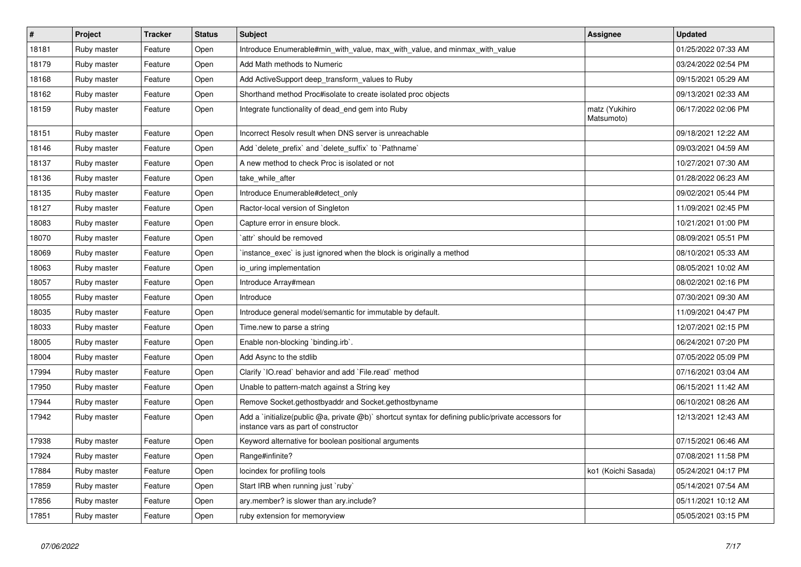| $\vert$ # | Project     | <b>Tracker</b> | <b>Status</b> | <b>Subject</b>                                                                                                                              | <b>Assignee</b>              | <b>Updated</b>      |
|-----------|-------------|----------------|---------------|---------------------------------------------------------------------------------------------------------------------------------------------|------------------------------|---------------------|
| 18181     | Ruby master | Feature        | Open          | Introduce Enumerable#min with value, max with value, and minmax with value                                                                  |                              | 01/25/2022 07:33 AM |
| 18179     | Ruby master | Feature        | Open          | Add Math methods to Numeric                                                                                                                 |                              | 03/24/2022 02:54 PM |
| 18168     | Ruby master | Feature        | Open          | Add ActiveSupport deep_transform_values to Ruby                                                                                             |                              | 09/15/2021 05:29 AM |
| 18162     | Ruby master | Feature        | Open          | Shorthand method Proc#isolate to create isolated proc objects                                                                               |                              | 09/13/2021 02:33 AM |
| 18159     | Ruby master | Feature        | Open          | Integrate functionality of dead_end gem into Ruby                                                                                           | matz (Yukihiro<br>Matsumoto) | 06/17/2022 02:06 PM |
| 18151     | Ruby master | Feature        | Open          | Incorrect Resolv result when DNS server is unreachable                                                                                      |                              | 09/18/2021 12:22 AM |
| 18146     | Ruby master | Feature        | Open          | Add `delete_prefix` and `delete_suffix` to `Pathname`                                                                                       |                              | 09/03/2021 04:59 AM |
| 18137     | Ruby master | Feature        | Open          | A new method to check Proc is isolated or not                                                                                               |                              | 10/27/2021 07:30 AM |
| 18136     | Ruby master | Feature        | Open          | take_while_after                                                                                                                            |                              | 01/28/2022 06:23 AM |
| 18135     | Ruby master | Feature        | Open          | Introduce Enumerable#detect only                                                                                                            |                              | 09/02/2021 05:44 PM |
| 18127     | Ruby master | Feature        | Open          | Ractor-local version of Singleton                                                                                                           |                              | 11/09/2021 02:45 PM |
| 18083     | Ruby master | Feature        | Open          | Capture error in ensure block.                                                                                                              |                              | 10/21/2021 01:00 PM |
| 18070     | Ruby master | Feature        | Open          | `attr` should be removed                                                                                                                    |                              | 08/09/2021 05:51 PM |
| 18069     | Ruby master | Feature        | Open          | instance_exec` is just ignored when the block is originally a method                                                                        |                              | 08/10/2021 05:33 AM |
| 18063     | Ruby master | Feature        | Open          | io_uring implementation                                                                                                                     |                              | 08/05/2021 10:02 AM |
| 18057     | Ruby master | Feature        | Open          | Introduce Array#mean                                                                                                                        |                              | 08/02/2021 02:16 PM |
| 18055     | Ruby master | Feature        | Open          | Introduce                                                                                                                                   |                              | 07/30/2021 09:30 AM |
| 18035     | Ruby master | Feature        | Open          | Introduce general model/semantic for immutable by default.                                                                                  |                              | 11/09/2021 04:47 PM |
| 18033     | Ruby master | Feature        | Open          | Time.new to parse a string                                                                                                                  |                              | 12/07/2021 02:15 PM |
| 18005     | Ruby master | Feature        | Open          | Enable non-blocking `binding.irb`.                                                                                                          |                              | 06/24/2021 07:20 PM |
| 18004     | Ruby master | Feature        | Open          | Add Async to the stdlib                                                                                                                     |                              | 07/05/2022 05:09 PM |
| 17994     | Ruby master | Feature        | Open          | Clarify 'IO.read' behavior and add 'File.read' method                                                                                       |                              | 07/16/2021 03:04 AM |
| 17950     | Ruby master | Feature        | Open          | Unable to pattern-match against a String key                                                                                                |                              | 06/15/2021 11:42 AM |
| 17944     | Ruby master | Feature        | Open          | Remove Socket.gethostbyaddr and Socket.gethostbyname                                                                                        |                              | 06/10/2021 08:26 AM |
| 17942     | Ruby master | Feature        | Open          | Add a `initialize(public @a, private @b)` shortcut syntax for defining public/private accessors for<br>instance vars as part of constructor |                              | 12/13/2021 12:43 AM |
| 17938     | Ruby master | Feature        | Open          | Keyword alternative for boolean positional arguments                                                                                        |                              | 07/15/2021 06:46 AM |
| 17924     | Ruby master | Feature        | Open          | Range#infinite?                                                                                                                             |                              | 07/08/2021 11:58 PM |
| 17884     | Ruby master | Feature        | Open          | locindex for profiling tools                                                                                                                | ko1 (Koichi Sasada)          | 05/24/2021 04:17 PM |
| 17859     | Ruby master | Feature        | Open          | Start IRB when running just `ruby`                                                                                                          |                              | 05/14/2021 07:54 AM |
| 17856     | Ruby master | Feature        | Open          | ary.member? is slower than ary.include?                                                                                                     |                              | 05/11/2021 10:12 AM |
| 17851     | Ruby master | Feature        | Open          | ruby extension for memoryview                                                                                                               |                              | 05/05/2021 03:15 PM |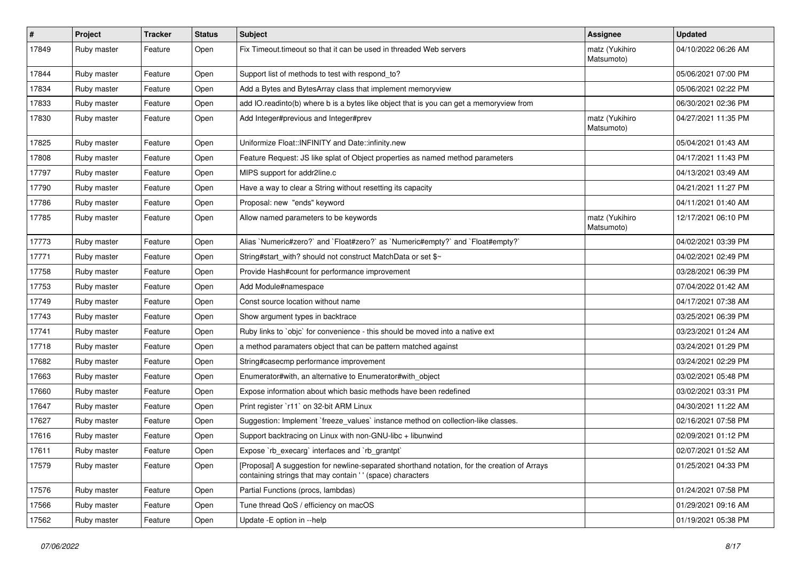| $\sharp$ | Project     | <b>Tracker</b> | <b>Status</b> | Subject                                                                                                                                                   | <b>Assignee</b>              | <b>Updated</b>      |
|----------|-------------|----------------|---------------|-----------------------------------------------------------------------------------------------------------------------------------------------------------|------------------------------|---------------------|
| 17849    | Ruby master | Feature        | Open          | Fix Timeout timeout so that it can be used in threaded Web servers                                                                                        | matz (Yukihiro<br>Matsumoto) | 04/10/2022 06:26 AM |
| 17844    | Ruby master | Feature        | Open          | Support list of methods to test with respond to?                                                                                                          |                              | 05/06/2021 07:00 PM |
| 17834    | Ruby master | Feature        | Open          | Add a Bytes and BytesArray class that implement memoryview                                                                                                |                              | 05/06/2021 02:22 PM |
| 17833    | Ruby master | Feature        | Open          | add IO.readinto(b) where b is a bytes like object that is you can get a memoryview from                                                                   |                              | 06/30/2021 02:36 PM |
| 17830    | Ruby master | Feature        | Open          | Add Integer#previous and Integer#prev                                                                                                                     | matz (Yukihiro<br>Matsumoto) | 04/27/2021 11:35 PM |
| 17825    | Ruby master | Feature        | Open          | Uniformize Float::INFINITY and Date::infinity.new                                                                                                         |                              | 05/04/2021 01:43 AM |
| 17808    | Ruby master | Feature        | Open          | Feature Request: JS like splat of Object properties as named method parameters                                                                            |                              | 04/17/2021 11:43 PM |
| 17797    | Ruby master | Feature        | Open          | MIPS support for addr2line.c                                                                                                                              |                              | 04/13/2021 03:49 AM |
| 17790    | Ruby master | Feature        | Open          | Have a way to clear a String without resetting its capacity                                                                                               |                              | 04/21/2021 11:27 PM |
| 17786    | Ruby master | Feature        | Open          | Proposal: new "ends" keyword                                                                                                                              |                              | 04/11/2021 01:40 AM |
| 17785    | Ruby master | Feature        | Open          | Allow named parameters to be keywords                                                                                                                     | matz (Yukihiro<br>Matsumoto) | 12/17/2021 06:10 PM |
| 17773    | Ruby master | Feature        | Open          | Alias `Numeric#zero?` and `Float#zero?` as `Numeric#empty?` and `Float#empty?`                                                                            |                              | 04/02/2021 03:39 PM |
| 17771    | Ruby master | Feature        | Open          | String#start_with? should not construct MatchData or set \$~                                                                                              |                              | 04/02/2021 02:49 PM |
| 17758    | Ruby master | Feature        | Open          | Provide Hash#count for performance improvement                                                                                                            |                              | 03/28/2021 06:39 PM |
| 17753    | Ruby master | Feature        | Open          | Add Module#namespace                                                                                                                                      |                              | 07/04/2022 01:42 AM |
| 17749    | Ruby master | Feature        | Open          | Const source location without name                                                                                                                        |                              | 04/17/2021 07:38 AM |
| 17743    | Ruby master | Feature        | Open          | Show argument types in backtrace                                                                                                                          |                              | 03/25/2021 06:39 PM |
| 17741    | Ruby master | Feature        | Open          | Ruby links to `objc` for convenience - this should be moved into a native ext                                                                             |                              | 03/23/2021 01:24 AM |
| 17718    | Ruby master | Feature        | Open          | a method paramaters object that can be pattern matched against                                                                                            |                              | 03/24/2021 01:29 PM |
| 17682    | Ruby master | Feature        | Open          | String#casecmp performance improvement                                                                                                                    |                              | 03/24/2021 02:29 PM |
| 17663    | Ruby master | Feature        | Open          | Enumerator#with, an alternative to Enumerator#with object                                                                                                 |                              | 03/02/2021 05:48 PM |
| 17660    | Ruby master | Feature        | Open          | Expose information about which basic methods have been redefined                                                                                          |                              | 03/02/2021 03:31 PM |
| 17647    | Ruby master | Feature        | Open          | Print register `r11` on 32-bit ARM Linux                                                                                                                  |                              | 04/30/2021 11:22 AM |
| 17627    | Ruby master | Feature        | Open          | Suggestion: Implement `freeze_values` instance method on collection-like classes.                                                                         |                              | 02/16/2021 07:58 PM |
| 17616    | Ruby master | Feature        | Open          | Support backtracing on Linux with non-GNU-libc + libunwind                                                                                                |                              | 02/09/2021 01:12 PM |
| 17611    | Ruby master | Feature        | Open          | Expose `rb_execarg` interfaces and `rb_grantpt`                                                                                                           |                              | 02/07/2021 01:52 AM |
| 17579    | Ruby master | Feature        | Open          | [Proposal] A suggestion for newline-separated shorthand notation, for the creation of Arrays<br>containing strings that may contain '' (space) characters |                              | 01/25/2021 04:33 PM |
| 17576    | Ruby master | Feature        | Open          | Partial Functions (procs, lambdas)                                                                                                                        |                              | 01/24/2021 07:58 PM |
| 17566    | Ruby master | Feature        | Open          | Tune thread QoS / efficiency on macOS                                                                                                                     |                              | 01/29/2021 09:16 AM |
| 17562    | Ruby master | Feature        | Open          | Update -E option in --help                                                                                                                                |                              | 01/19/2021 05:38 PM |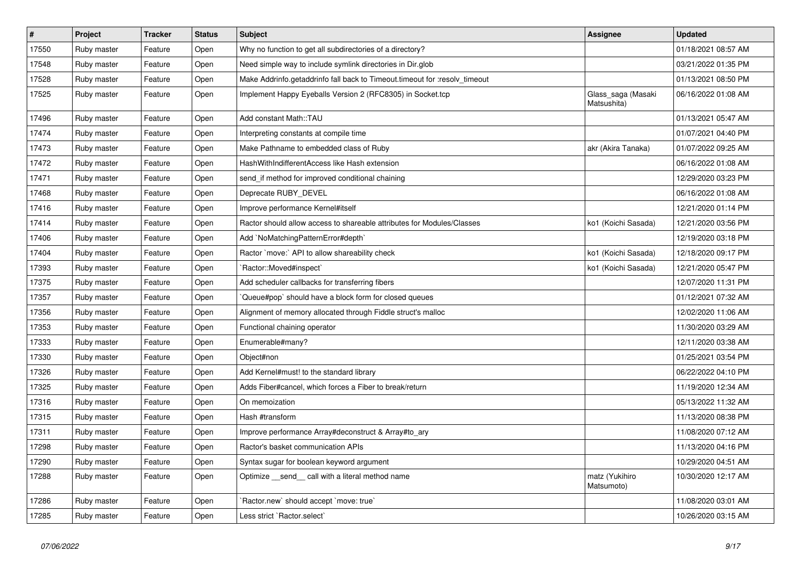| $\vert$ # | Project     | <b>Tracker</b> | <b>Status</b> | <b>Subject</b>                                                             | Assignee                          | <b>Updated</b>      |
|-----------|-------------|----------------|---------------|----------------------------------------------------------------------------|-----------------------------------|---------------------|
| 17550     | Ruby master | Feature        | Open          | Why no function to get all subdirectories of a directory?                  |                                   | 01/18/2021 08:57 AM |
| 17548     | Ruby master | Feature        | Open          | Need simple way to include symlink directories in Dir.glob                 |                                   | 03/21/2022 01:35 PM |
| 17528     | Ruby master | Feature        | Open          | Make Addrinfo.getaddrinfo fall back to Timeout.timeout for :resolv_timeout |                                   | 01/13/2021 08:50 PM |
| 17525     | Ruby master | Feature        | Open          | Implement Happy Eyeballs Version 2 (RFC8305) in Socket.tcp                 | Glass saga (Masaki<br>Matsushita) | 06/16/2022 01:08 AM |
| 17496     | Ruby master | Feature        | Open          | Add constant Math::TAU                                                     |                                   | 01/13/2021 05:47 AM |
| 17474     | Ruby master | Feature        | Open          | Interpreting constants at compile time                                     |                                   | 01/07/2021 04:40 PM |
| 17473     | Ruby master | Feature        | Open          | Make Pathname to embedded class of Ruby                                    | akr (Akira Tanaka)                | 01/07/2022 09:25 AM |
| 17472     | Ruby master | Feature        | Open          | HashWithIndifferentAccess like Hash extension                              |                                   | 06/16/2022 01:08 AM |
| 17471     | Ruby master | Feature        | Open          | send if method for improved conditional chaining                           |                                   | 12/29/2020 03:23 PM |
| 17468     | Ruby master | Feature        | Open          | Deprecate RUBY_DEVEL                                                       |                                   | 06/16/2022 01:08 AM |
| 17416     | Ruby master | Feature        | Open          | Improve performance Kernel#itself                                          |                                   | 12/21/2020 01:14 PM |
| 17414     | Ruby master | Feature        | Open          | Ractor should allow access to shareable attributes for Modules/Classes     | ko1 (Koichi Sasada)               | 12/21/2020 03:56 PM |
| 17406     | Ruby master | Feature        | Open          | Add `NoMatchingPatternError#depth`                                         |                                   | 12/19/2020 03:18 PM |
| 17404     | Ruby master | Feature        | Open          | Ractor `move:` API to allow shareability check                             | ko1 (Koichi Sasada)               | 12/18/2020 09:17 PM |
| 17393     | Ruby master | Feature        | Open          | `Ractor::Moved#inspect`                                                    | ko1 (Koichi Sasada)               | 12/21/2020 05:47 PM |
| 17375     | Ruby master | Feature        | Open          | Add scheduler callbacks for transferring fibers                            |                                   | 12/07/2020 11:31 PM |
| 17357     | Ruby master | Feature        | Open          | Queue#pop`should have a block form for closed queues                       |                                   | 01/12/2021 07:32 AM |
| 17356     | Ruby master | Feature        | Open          | Alignment of memory allocated through Fiddle struct's malloc               |                                   | 12/02/2020 11:06 AM |
| 17353     | Ruby master | Feature        | Open          | Functional chaining operator                                               |                                   | 11/30/2020 03:29 AM |
| 17333     | Ruby master | Feature        | Open          | Enumerable#many?                                                           |                                   | 12/11/2020 03:38 AM |
| 17330     | Ruby master | Feature        | Open          | Object#non                                                                 |                                   | 01/25/2021 03:54 PM |
| 17326     | Ruby master | Feature        | Open          | Add Kernel#must! to the standard library                                   |                                   | 06/22/2022 04:10 PM |
| 17325     | Ruby master | Feature        | Open          | Adds Fiber#cancel, which forces a Fiber to break/return                    |                                   | 11/19/2020 12:34 AM |
| 17316     | Ruby master | Feature        | Open          | On memoization                                                             |                                   | 05/13/2022 11:32 AM |
| 17315     | Ruby master | Feature        | Open          | Hash #transform                                                            |                                   | 11/13/2020 08:38 PM |
| 17311     | Ruby master | Feature        | Open          | Improve performance Array#deconstruct & Array#to_ary                       |                                   | 11/08/2020 07:12 AM |
| 17298     | Ruby master | Feature        | Open          | Ractor's basket communication APIs                                         |                                   | 11/13/2020 04:16 PM |
| 17290     | Ruby master | Feature        | Open          | Syntax sugar for boolean keyword argument                                  |                                   | 10/29/2020 04:51 AM |
| 17288     | Ruby master | Feature        | Open          | Optimize _send_ call with a literal method name                            | matz (Yukihiro<br>Matsumoto)      | 10/30/2020 12:17 AM |
| 17286     | Ruby master | Feature        | Open          | `Ractor.new` should accept `move: true`                                    |                                   | 11/08/2020 03:01 AM |
| 17285     | Ruby master | Feature        | Open          | Less strict `Ractor.select`                                                |                                   | 10/26/2020 03:15 AM |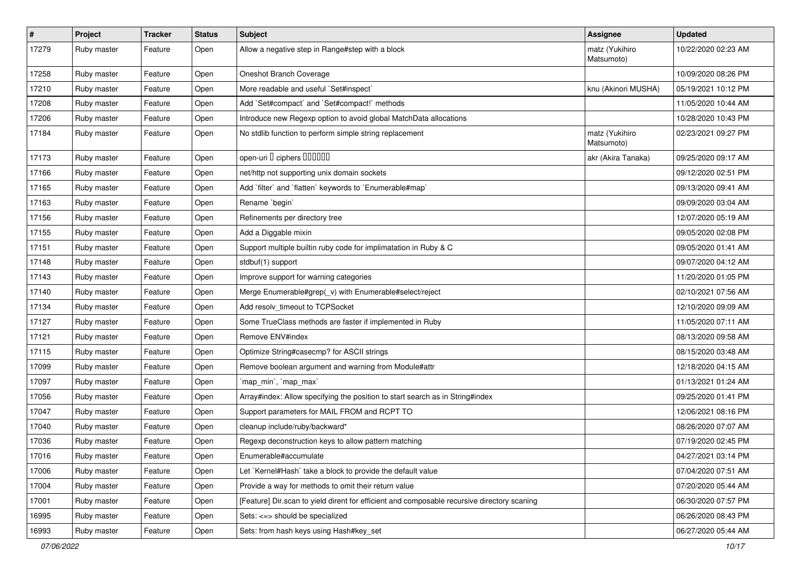| $\pmb{\#}$ | Project     | <b>Tracker</b> | <b>Status</b> | <b>Subject</b>                                                                              | Assignee                     | <b>Updated</b>      |
|------------|-------------|----------------|---------------|---------------------------------------------------------------------------------------------|------------------------------|---------------------|
| 17279      | Ruby master | Feature        | Open          | Allow a negative step in Range#step with a block                                            | matz (Yukihiro<br>Matsumoto) | 10/22/2020 02:23 AM |
| 17258      | Ruby master | Feature        | Open          | Oneshot Branch Coverage                                                                     |                              | 10/09/2020 08:26 PM |
| 17210      | Ruby master | Feature        | Open          | More readable and useful `Set#inspect`                                                      | knu (Akinori MUSHA)          | 05/19/2021 10:12 PM |
| 17208      | Ruby master | Feature        | Open          | Add `Set#compact` and `Set#compact!` methods                                                |                              | 11/05/2020 10:44 AM |
| 17206      | Ruby master | Feature        | Open          | Introduce new Regexp option to avoid global MatchData allocations                           |                              | 10/28/2020 10:43 PM |
| 17184      | Ruby master | Feature        | Open          | No stdlib function to perform simple string replacement                                     | matz (Yukihiro<br>Matsumoto) | 02/23/2021 09:27 PM |
| 17173      | Ruby master | Feature        | Open          | open-uri D ciphers DOODOO                                                                   | akr (Akira Tanaka)           | 09/25/2020 09:17 AM |
| 17166      | Ruby master | Feature        | Open          | net/http not supporting unix domain sockets                                                 |                              | 09/12/2020 02:51 PM |
| 17165      | Ruby master | Feature        | Open          | Add `filter` and `flatten` keywords to `Enumerable#map`                                     |                              | 09/13/2020 09:41 AM |
| 17163      | Ruby master | Feature        | Open          | Rename `begin`                                                                              |                              | 09/09/2020 03:04 AM |
| 17156      | Ruby master | Feature        | Open          | Refinements per directory tree                                                              |                              | 12/07/2020 05:19 AM |
| 17155      | Ruby master | Feature        | Open          | Add a Diggable mixin                                                                        |                              | 09/05/2020 02:08 PM |
| 17151      | Ruby master | Feature        | Open          | Support multiple builtin ruby code for implimatation in Ruby & C                            |                              | 09/05/2020 01:41 AM |
| 17148      | Ruby master | Feature        | Open          | stdbuf(1) support                                                                           |                              | 09/07/2020 04:12 AM |
| 17143      | Ruby master | Feature        | Open          | Improve support for warning categories                                                      |                              | 11/20/2020 01:05 PM |
| 17140      | Ruby master | Feature        | Open          | Merge Enumerable#grep(_v) with Enumerable#select/reject                                     |                              | 02/10/2021 07:56 AM |
| 17134      | Ruby master | Feature        | Open          | Add resolv_timeout to TCPSocket                                                             |                              | 12/10/2020 09:09 AM |
| 17127      | Ruby master | Feature        | Open          | Some TrueClass methods are faster if implemented in Ruby                                    |                              | 11/05/2020 07:11 AM |
| 17121      | Ruby master | Feature        | Open          | Remove ENV#index                                                                            |                              | 08/13/2020 09:58 AM |
| 17115      | Ruby master | Feature        | Open          | Optimize String#casecmp? for ASCII strings                                                  |                              | 08/15/2020 03:48 AM |
| 17099      | Ruby master | Feature        | Open          | Remove boolean argument and warning from Module#attr                                        |                              | 12/18/2020 04:15 AM |
| 17097      | Ruby master | Feature        | Open          | `map_min`, `map_max`                                                                        |                              | 01/13/2021 01:24 AM |
| 17056      | Ruby master | Feature        | Open          | Array#index: Allow specifying the position to start search as in String#index               |                              | 09/25/2020 01:41 PM |
| 17047      | Ruby master | Feature        | Open          | Support parameters for MAIL FROM and RCPT TO                                                |                              | 12/06/2021 08:16 PM |
| 17040      | Ruby master | Feature        | Open          | cleanup include/ruby/backward*                                                              |                              | 08/26/2020 07:07 AM |
| 17036      | Ruby master | Feature        | Open          | Regexp deconstruction keys to allow pattern matching                                        |                              | 07/19/2020 02:45 PM |
| 17016      | Ruby master | Feature        | Open          | Enumerable#accumulate                                                                       |                              | 04/27/2021 03:14 PM |
| 17006      | Ruby master | Feature        | Open          | Let `Kernel#Hash` take a block to provide the default value                                 |                              | 07/04/2020 07:51 AM |
| 17004      | Ruby master | Feature        | Open          | Provide a way for methods to omit their return value                                        |                              | 07/20/2020 05:44 AM |
| 17001      | Ruby master | Feature        | Open          | [Feature] Dir.scan to yield dirent for efficient and composable recursive directory scaning |                              | 06/30/2020 07:57 PM |
| 16995      | Ruby master | Feature        | Open          | Sets: <=> should be specialized                                                             |                              | 06/26/2020 08:43 PM |
| 16993      | Ruby master | Feature        | Open          | Sets: from hash keys using Hash#key_set                                                     |                              | 06/27/2020 05:44 AM |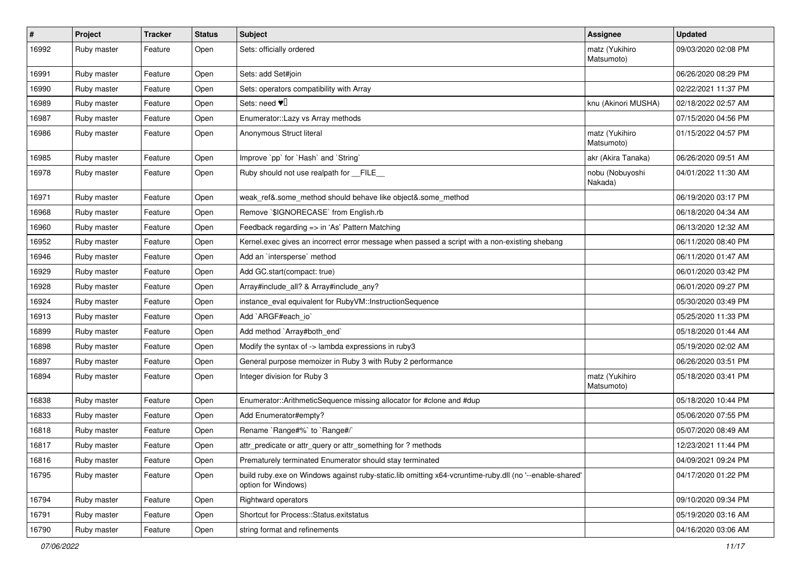| $\sharp$ | Project     | <b>Tracker</b> | <b>Status</b> | Subject                                                                                                                        | Assignee                     | <b>Updated</b>      |
|----------|-------------|----------------|---------------|--------------------------------------------------------------------------------------------------------------------------------|------------------------------|---------------------|
| 16992    | Ruby master | Feature        | Open          | Sets: officially ordered                                                                                                       | matz (Yukihiro<br>Matsumoto) | 09/03/2020 02:08 PM |
| 16991    | Ruby master | Feature        | Open          | Sets: add Set#join                                                                                                             |                              | 06/26/2020 08:29 PM |
| 16990    | Ruby master | Feature        | Open          | Sets: operators compatibility with Array                                                                                       |                              | 02/22/2021 11:37 PM |
| 16989    | Ruby master | Feature        | Open          | Sets: need $\Psi$                                                                                                              | knu (Akinori MUSHA)          | 02/18/2022 02:57 AM |
| 16987    | Ruby master | Feature        | Open          | Enumerator:: Lazy vs Array methods                                                                                             |                              | 07/15/2020 04:56 PM |
| 16986    | Ruby master | Feature        | Open          | Anonymous Struct literal                                                                                                       | matz (Yukihiro<br>Matsumoto) | 01/15/2022 04:57 PM |
| 16985    | Ruby master | Feature        | Open          | Improve `pp` for `Hash` and `String`                                                                                           | akr (Akira Tanaka)           | 06/26/2020 09:51 AM |
| 16978    | Ruby master | Feature        | Open          | Ruby should not use realpath for FILE                                                                                          | nobu (Nobuyoshi<br>Nakada)   | 04/01/2022 11:30 AM |
| 16971    | Ruby master | Feature        | Open          | weak_ref&.some_method should behave like object&.some_method                                                                   |                              | 06/19/2020 03:17 PM |
| 16968    | Ruby master | Feature        | Open          | Remove `\$IGNORECASE` from English.rb                                                                                          |                              | 06/18/2020 04:34 AM |
| 16960    | Ruby master | Feature        | Open          | Feedback regarding => in 'As' Pattern Matching                                                                                 |                              | 06/13/2020 12:32 AM |
| 16952    | Ruby master | Feature        | Open          | Kernel.exec gives an incorrect error message when passed a script with a non-existing shebang                                  |                              | 06/11/2020 08:40 PM |
| 16946    | Ruby master | Feature        | Open          | Add an 'intersperse' method                                                                                                    |                              | 06/11/2020 01:47 AM |
| 16929    | Ruby master | Feature        | Open          | Add GC.start(compact: true)                                                                                                    |                              | 06/01/2020 03:42 PM |
| 16928    | Ruby master | Feature        | Open          | Array#include_all? & Array#include_any?                                                                                        |                              | 06/01/2020 09:27 PM |
| 16924    | Ruby master | Feature        | Open          | instance_eval equivalent for RubyVM::InstructionSequence                                                                       |                              | 05/30/2020 03:49 PM |
| 16913    | Ruby master | Feature        | Open          | Add `ARGF#each_io`                                                                                                             |                              | 05/25/2020 11:33 PM |
| 16899    | Ruby master | Feature        | Open          | Add method `Array#both_end`                                                                                                    |                              | 05/18/2020 01:44 AM |
| 16898    | Ruby master | Feature        | Open          | Modify the syntax of -> lambda expressions in ruby3                                                                            |                              | 05/19/2020 02:02 AM |
| 16897    | Ruby master | Feature        | Open          | General purpose memoizer in Ruby 3 with Ruby 2 performance                                                                     |                              | 06/26/2020 03:51 PM |
| 16894    | Ruby master | Feature        | Open          | Integer division for Ruby 3                                                                                                    | matz (Yukihiro<br>Matsumoto) | 05/18/2020 03:41 PM |
| 16838    | Ruby master | Feature        | Open          | Enumerator::ArithmeticSequence missing allocator for #clone and #dup                                                           |                              | 05/18/2020 10:44 PM |
| 16833    | Ruby master | Feature        | Open          | Add Enumerator#empty?                                                                                                          |                              | 05/06/2020 07:55 PM |
| 16818    | Ruby master | Feature        | Open          | Rename `Range#%` to `Range#/`                                                                                                  |                              | 05/07/2020 08:49 AM |
| 16817    | Ruby master | Feature        | Open          | attr predicate or attr query or attr something for? methods                                                                    |                              | 12/23/2021 11:44 PM |
| 16816    | Ruby master | Feature        | Open          | Prematurely terminated Enumerator should stay terminated                                                                       |                              | 04/09/2021 09:24 PM |
| 16795    | Ruby master | Feature        | Open          | build ruby.exe on Windows against ruby-static.lib omitting x64-vcruntime-ruby.dll (no '--enable-shared'<br>option for Windows) |                              | 04/17/2020 01:22 PM |
| 16794    | Ruby master | Feature        | Open          | Rightward operators                                                                                                            |                              | 09/10/2020 09:34 PM |
| 16791    | Ruby master | Feature        | Open          | Shortcut for Process::Status.exitstatus                                                                                        |                              | 05/19/2020 03:16 AM |
| 16790    | Ruby master | Feature        | Open          | string format and refinements                                                                                                  |                              | 04/16/2020 03:06 AM |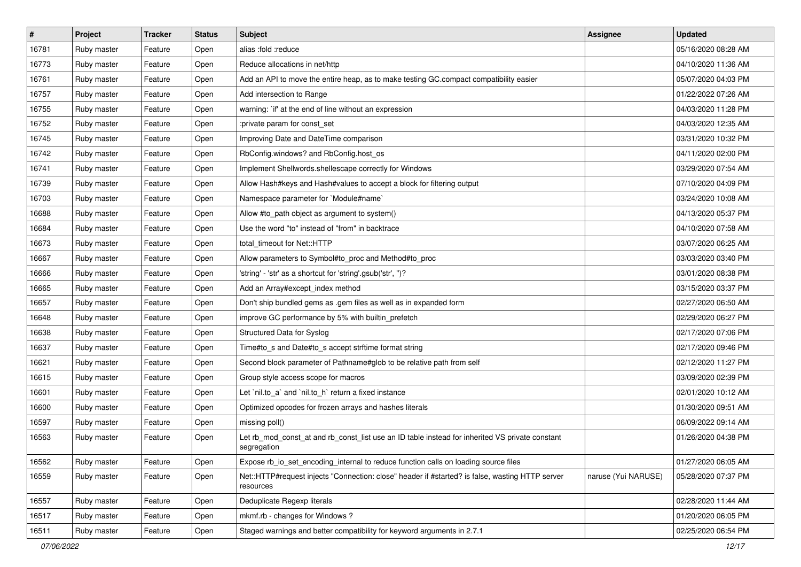| #     | Project     | <b>Tracker</b> | <b>Status</b> | Subject                                                                                                        | Assignee            | <b>Updated</b>      |
|-------|-------------|----------------|---------------|----------------------------------------------------------------------------------------------------------------|---------------------|---------------------|
| 16781 | Ruby master | Feature        | Open          | alias :fold :reduce                                                                                            |                     | 05/16/2020 08:28 AM |
| 16773 | Ruby master | Feature        | Open          | Reduce allocations in net/http                                                                                 |                     | 04/10/2020 11:36 AM |
| 16761 | Ruby master | Feature        | Open          | Add an API to move the entire heap, as to make testing GC.compact compatibility easier                         |                     | 05/07/2020 04:03 PM |
| 16757 | Ruby master | Feature        | Open          | Add intersection to Range                                                                                      |                     | 01/22/2022 07:26 AM |
| 16755 | Ruby master | Feature        | Open          | warning: `if' at the end of line without an expression                                                         |                     | 04/03/2020 11:28 PM |
| 16752 | Ruby master | Feature        | Open          | :private param for const_set                                                                                   |                     | 04/03/2020 12:35 AM |
| 16745 | Ruby master | Feature        | Open          | Improving Date and DateTime comparison                                                                         |                     | 03/31/2020 10:32 PM |
| 16742 | Ruby master | Feature        | Open          | RbConfig.windows? and RbConfig.host_os                                                                         |                     | 04/11/2020 02:00 PM |
| 16741 | Ruby master | Feature        | Open          | Implement Shellwords.shellescape correctly for Windows                                                         |                     | 03/29/2020 07:54 AM |
| 16739 | Ruby master | Feature        | Open          | Allow Hash#keys and Hash#values to accept a block for filtering output                                         |                     | 07/10/2020 04:09 PM |
| 16703 | Ruby master | Feature        | Open          | Namespace parameter for `Module#name`                                                                          |                     | 03/24/2020 10:08 AM |
| 16688 | Ruby master | Feature        | Open          | Allow #to_path object as argument to system()                                                                  |                     | 04/13/2020 05:37 PM |
| 16684 | Ruby master | Feature        | Open          | Use the word "to" instead of "from" in backtrace                                                               |                     | 04/10/2020 07:58 AM |
| 16673 | Ruby master | Feature        | Open          | total timeout for Net::HTTP                                                                                    |                     | 03/07/2020 06:25 AM |
| 16667 | Ruby master | Feature        | Open          | Allow parameters to Symbol#to_proc and Method#to_proc                                                          |                     | 03/03/2020 03:40 PM |
| 16666 | Ruby master | Feature        | Open          | 'string' - 'str' as a shortcut for 'string'.gsub('str', ")?                                                    |                     | 03/01/2020 08:38 PM |
| 16665 | Ruby master | Feature        | Open          | Add an Array#except_index method                                                                               |                     | 03/15/2020 03:37 PM |
| 16657 | Ruby master | Feature        | Open          | Don't ship bundled gems as .gem files as well as in expanded form                                              |                     | 02/27/2020 06:50 AM |
| 16648 | Ruby master | Feature        | Open          | improve GC performance by 5% with builtin_prefetch                                                             |                     | 02/29/2020 06:27 PM |
| 16638 | Ruby master | Feature        | Open          | Structured Data for Syslog                                                                                     |                     | 02/17/2020 07:06 PM |
| 16637 | Ruby master | Feature        | Open          | Time#to_s and Date#to_s accept strftime format string                                                          |                     | 02/17/2020 09:46 PM |
| 16621 | Ruby master | Feature        | Open          | Second block parameter of Pathname#glob to be relative path from self                                          |                     | 02/12/2020 11:27 PM |
| 16615 | Ruby master | Feature        | Open          | Group style access scope for macros                                                                            |                     | 03/09/2020 02:39 PM |
| 16601 | Ruby master | Feature        | Open          | Let `nil.to_a` and `nil.to_h` return a fixed instance                                                          |                     | 02/01/2020 10:12 AM |
| 16600 | Ruby master | Feature        | Open          | Optimized opcodes for frozen arrays and hashes literals                                                        |                     | 01/30/2020 09:51 AM |
| 16597 | Ruby master | Feature        | Open          | missing poll()                                                                                                 |                     | 06/09/2022 09:14 AM |
| 16563 | Ruby master | Feature        | Open          | Let rb_mod_const_at and rb_const_list use an ID table instead for inherited VS private constant<br>segregation |                     | 01/26/2020 04:38 PM |
| 16562 | Ruby master | Feature        | Open          | Expose rb io set encoding internal to reduce function calls on loading source files                            |                     | 01/27/2020 06:05 AM |
| 16559 | Ruby master | Feature        | Open          | Net::HTTP#request injects "Connection: close" header if #started? is false, wasting HTTP server<br>resources   | naruse (Yui NARUSE) | 05/28/2020 07:37 PM |
| 16557 | Ruby master | Feature        | Open          | Deduplicate Regexp literals                                                                                    |                     | 02/28/2020 11:44 AM |
| 16517 | Ruby master | Feature        | Open          | mkmf.rb - changes for Windows?                                                                                 |                     | 01/20/2020 06:05 PM |
| 16511 | Ruby master | Feature        | Open          | Staged warnings and better compatibility for keyword arguments in 2.7.1                                        |                     | 02/25/2020 06:54 PM |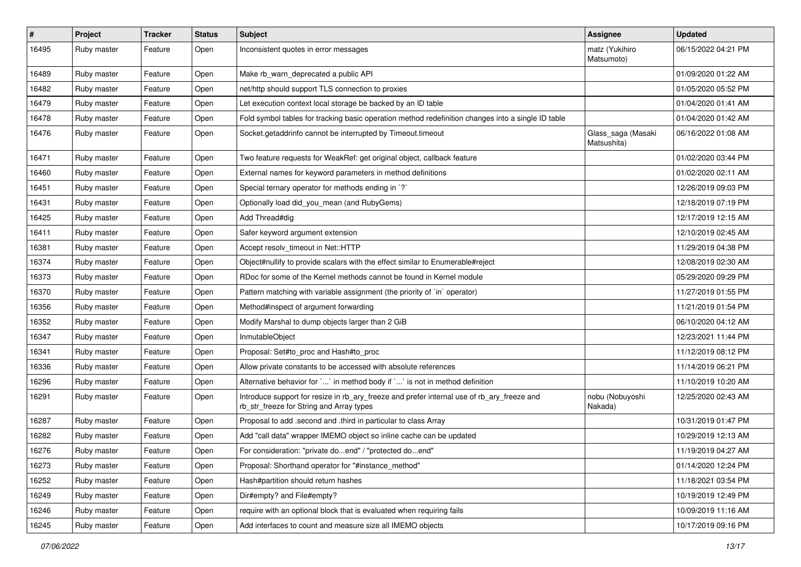| #     | Project     | <b>Tracker</b> | <b>Status</b> | Subject                                                                                                                                | <b>Assignee</b>                   | <b>Updated</b>      |
|-------|-------------|----------------|---------------|----------------------------------------------------------------------------------------------------------------------------------------|-----------------------------------|---------------------|
| 16495 | Ruby master | Feature        | Open          | Inconsistent quotes in error messages                                                                                                  | matz (Yukihiro<br>Matsumoto)      | 06/15/2022 04:21 PM |
| 16489 | Ruby master | Feature        | Open          | Make rb warn deprecated a public API                                                                                                   |                                   | 01/09/2020 01:22 AM |
| 16482 | Ruby master | Feature        | Open          | net/http should support TLS connection to proxies                                                                                      |                                   | 01/05/2020 05:52 PM |
| 16479 | Ruby master | Feature        | Open          | Let execution context local storage be backed by an ID table                                                                           |                                   | 01/04/2020 01:41 AM |
| 16478 | Ruby master | Feature        | Open          | Fold symbol tables for tracking basic operation method redefinition changes into a single ID table                                     |                                   | 01/04/2020 01:42 AM |
| 16476 | Ruby master | Feature        | Open          | Socket.getaddrinfo cannot be interrupted by Timeout.timeout                                                                            | Glass_saga (Masaki<br>Matsushita) | 06/16/2022 01:08 AM |
| 16471 | Ruby master | Feature        | Open          | Two feature requests for WeakRef: get original object, callback feature                                                                |                                   | 01/02/2020 03:44 PM |
| 16460 | Ruby master | Feature        | Open          | External names for keyword parameters in method definitions                                                                            |                                   | 01/02/2020 02:11 AM |
| 16451 | Ruby master | Feature        | Open          | Special ternary operator for methods ending in `?`                                                                                     |                                   | 12/26/2019 09:03 PM |
| 16431 | Ruby master | Feature        | Open          | Optionally load did_you_mean (and RubyGems)                                                                                            |                                   | 12/18/2019 07:19 PM |
| 16425 | Ruby master | Feature        | Open          | Add Thread#dig                                                                                                                         |                                   | 12/17/2019 12:15 AM |
| 16411 | Ruby master | Feature        | Open          | Safer keyword argument extension                                                                                                       |                                   | 12/10/2019 02:45 AM |
| 16381 | Ruby master | Feature        | Open          | Accept resolv_timeout in Net::HTTP                                                                                                     |                                   | 11/29/2019 04:38 PM |
| 16374 | Ruby master | Feature        | Open          | Object#nullify to provide scalars with the effect similar to Enumerable#reject                                                         |                                   | 12/08/2019 02:30 AM |
| 16373 | Ruby master | Feature        | Open          | RDoc for some of the Kernel methods cannot be found in Kernel module                                                                   |                                   | 05/29/2020 09:29 PM |
| 16370 | Ruby master | Feature        | Open          | Pattern matching with variable assignment (the priority of `in` operator)                                                              |                                   | 11/27/2019 01:55 PM |
| 16356 | Ruby master | Feature        | Open          | Method#inspect of argument forwarding                                                                                                  |                                   | 11/21/2019 01:54 PM |
| 16352 | Ruby master | Feature        | Open          | Modify Marshal to dump objects larger than 2 GiB                                                                                       |                                   | 06/10/2020 04:12 AM |
| 16347 | Ruby master | Feature        | Open          | InmutableObject                                                                                                                        |                                   | 12/23/2021 11:44 PM |
| 16341 | Ruby master | Feature        | Open          | Proposal: Set#to_proc and Hash#to_proc                                                                                                 |                                   | 11/12/2019 08:12 PM |
| 16336 | Ruby master | Feature        | Open          | Allow private constants to be accessed with absolute references                                                                        |                                   | 11/14/2019 06:21 PM |
| 16296 | Ruby master | Feature        | Open          | Alternative behavior for `` in method body if `` is not in method definition                                                           |                                   | 11/10/2019 10:20 AM |
| 16291 | Ruby master | Feature        | Open          | Introduce support for resize in rb_ary_freeze and prefer internal use of rb_ary_freeze and<br>rb_str_freeze for String and Array types | nobu (Nobuyoshi<br>Nakada)        | 12/25/2020 02:43 AM |
| 16287 | Ruby master | Feature        | Open          | Proposal to add .second and .third in particular to class Array                                                                        |                                   | 10/31/2019 01:47 PM |
| 16282 | Ruby master | Feature        | Open          | Add "call data" wrapper IMEMO object so inline cache can be updated                                                                    |                                   | 10/29/2019 12:13 AM |
| 16276 | Ruby master | Feature        | Open          | For consideration: "private doend" / "protected doend"                                                                                 |                                   | 11/19/2019 04:27 AM |
| 16273 | Ruby master | Feature        | Open          | Proposal: Shorthand operator for "#instance_method"                                                                                    |                                   | 01/14/2020 12:24 PM |
| 16252 | Ruby master | Feature        | Open          | Hash#partition should return hashes                                                                                                    |                                   | 11/18/2021 03:54 PM |
| 16249 | Ruby master | Feature        | Open          | Dir#empty? and File#empty?                                                                                                             |                                   | 10/19/2019 12:49 PM |
| 16246 | Ruby master | Feature        | Open          | require with an optional block that is evaluated when requiring fails                                                                  |                                   | 10/09/2019 11:16 AM |
| 16245 | Ruby master | Feature        | Open          | Add interfaces to count and measure size all IMEMO objects                                                                             |                                   | 10/17/2019 09:16 PM |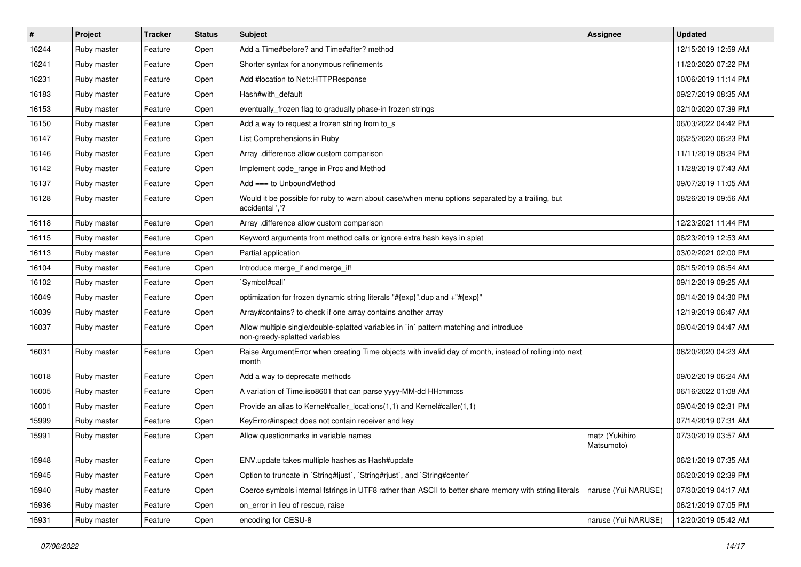| $\sharp$ | Project     | <b>Tracker</b> | <b>Status</b> | Subject                                                                                                                 | Assignee                     | <b>Updated</b>      |
|----------|-------------|----------------|---------------|-------------------------------------------------------------------------------------------------------------------------|------------------------------|---------------------|
| 16244    | Ruby master | Feature        | Open          | Add a Time#before? and Time#after? method                                                                               |                              | 12/15/2019 12:59 AM |
| 16241    | Ruby master | Feature        | Open          | Shorter syntax for anonymous refinements                                                                                |                              | 11/20/2020 07:22 PM |
| 16231    | Ruby master | Feature        | Open          | Add #location to Net::HTTPResponse                                                                                      |                              | 10/06/2019 11:14 PM |
| 16183    | Ruby master | Feature        | Open          | Hash#with default                                                                                                       |                              | 09/27/2019 08:35 AM |
| 16153    | Ruby master | Feature        | Open          | eventually_frozen flag to gradually phase-in frozen strings                                                             |                              | 02/10/2020 07:39 PM |
| 16150    | Ruby master | Feature        | Open          | Add a way to request a frozen string from to_s                                                                          |                              | 06/03/2022 04:42 PM |
| 16147    | Ruby master | Feature        | Open          | List Comprehensions in Ruby                                                                                             |                              | 06/25/2020 06:23 PM |
| 16146    | Ruby master | Feature        | Open          | Array .difference allow custom comparison                                                                               |                              | 11/11/2019 08:34 PM |
| 16142    | Ruby master | Feature        | Open          | Implement code_range in Proc and Method                                                                                 |                              | 11/28/2019 07:43 AM |
| 16137    | Ruby master | Feature        | Open          | Add === to UnboundMethod                                                                                                |                              | 09/07/2019 11:05 AM |
| 16128    | Ruby master | Feature        | Open          | Would it be possible for ruby to warn about case/when menu options separated by a trailing, but<br>accidental ','?      |                              | 08/26/2019 09:56 AM |
| 16118    | Ruby master | Feature        | Open          | Array .difference allow custom comparison                                                                               |                              | 12/23/2021 11:44 PM |
| 16115    | Ruby master | Feature        | Open          | Keyword arguments from method calls or ignore extra hash keys in splat                                                  |                              | 08/23/2019 12:53 AM |
| 16113    | Ruby master | Feature        | Open          | Partial application                                                                                                     |                              | 03/02/2021 02:00 PM |
| 16104    | Ruby master | Feature        | Open          | Introduce merge_if and merge_if!                                                                                        |                              | 08/15/2019 06:54 AM |
| 16102    | Ruby master | Feature        | Open          | `Symbol#call`                                                                                                           |                              | 09/12/2019 09:25 AM |
| 16049    | Ruby master | Feature        | Open          | optimization for frozen dynamic string literals "#{exp}".dup and +"#{exp}"                                              |                              | 08/14/2019 04:30 PM |
| 16039    | Ruby master | Feature        | Open          | Array#contains? to check if one array contains another array                                                            |                              | 12/19/2019 06:47 AM |
| 16037    | Ruby master | Feature        | Open          | Allow multiple single/double-splatted variables in `in` pattern matching and introduce<br>non-greedy-splatted variables |                              | 08/04/2019 04:47 AM |
| 16031    | Ruby master | Feature        | Open          | Raise ArgumentError when creating Time objects with invalid day of month, instead of rolling into next<br>month         |                              | 06/20/2020 04:23 AM |
| 16018    | Ruby master | Feature        | Open          | Add a way to deprecate methods                                                                                          |                              | 09/02/2019 06:24 AM |
| 16005    | Ruby master | Feature        | Open          | A variation of Time.iso8601 that can parse yyyy-MM-dd HH:mm:ss                                                          |                              | 06/16/2022 01:08 AM |
| 16001    | Ruby master | Feature        | Open          | Provide an alias to Kernel#caller_locations(1,1) and Kernel#caller(1,1)                                                 |                              | 09/04/2019 02:31 PM |
| 15999    | Ruby master | Feature        | Open          | KeyError#inspect does not contain receiver and key                                                                      |                              | 07/14/2019 07:31 AM |
| 15991    | Ruby master | Feature        | Open          | Allow questionmarks in variable names                                                                                   | matz (Yukihiro<br>Matsumoto) | 07/30/2019 03:57 AM |
| 15948    | Ruby master | Feature        | Open          | ENV.update takes multiple hashes as Hash#update                                                                         |                              | 06/21/2019 07:35 AM |
| 15945    | Ruby master | Feature        | Open          | Option to truncate in `String#ljust`, `String#rjust`, and `String#center`                                               |                              | 06/20/2019 02:39 PM |
| 15940    | Ruby master | Feature        | Open          | Coerce symbols internal fstrings in UTF8 rather than ASCII to better share memory with string literals                  | naruse (Yui NARUSE)          | 07/30/2019 04:17 AM |
| 15936    | Ruby master | Feature        | Open          | on error in lieu of rescue, raise                                                                                       |                              | 06/21/2019 07:05 PM |
| 15931    | Ruby master | Feature        | Open          | encoding for CESU-8                                                                                                     | naruse (Yui NARUSE)          | 12/20/2019 05:42 AM |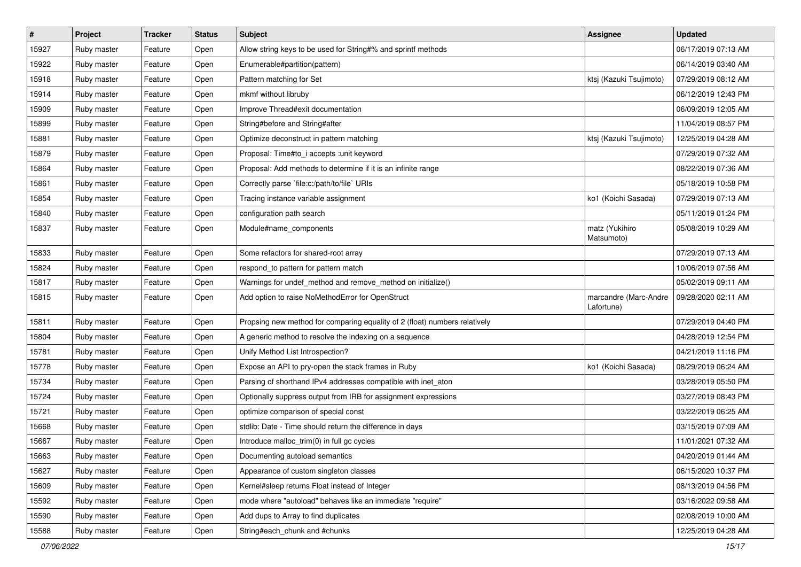| $\vert$ # | Project     | <b>Tracker</b> | <b>Status</b> | <b>Subject</b>                                                             | Assignee                            | <b>Updated</b>      |
|-----------|-------------|----------------|---------------|----------------------------------------------------------------------------|-------------------------------------|---------------------|
| 15927     | Ruby master | Feature        | Open          | Allow string keys to be used for String#% and sprintf methods              |                                     | 06/17/2019 07:13 AM |
| 15922     | Ruby master | Feature        | Open          | Enumerable#partition(pattern)                                              |                                     | 06/14/2019 03:40 AM |
| 15918     | Ruby master | Feature        | Open          | Pattern matching for Set                                                   | ktsj (Kazuki Tsujimoto)             | 07/29/2019 08:12 AM |
| 15914     | Ruby master | Feature        | Open          | mkmf without libruby                                                       |                                     | 06/12/2019 12:43 PM |
| 15909     | Ruby master | Feature        | Open          | Improve Thread#exit documentation                                          |                                     | 06/09/2019 12:05 AM |
| 15899     | Ruby master | Feature        | Open          | String#before and String#after                                             |                                     | 11/04/2019 08:57 PM |
| 15881     | Ruby master | Feature        | Open          | Optimize deconstruct in pattern matching                                   | ktsj (Kazuki Tsujimoto)             | 12/25/2019 04:28 AM |
| 15879     | Ruby master | Feature        | Open          | Proposal: Time#to_i accepts :unit keyword                                  |                                     | 07/29/2019 07:32 AM |
| 15864     | Ruby master | Feature        | Open          | Proposal: Add methods to determine if it is an infinite range              |                                     | 08/22/2019 07:36 AM |
| 15861     | Ruby master | Feature        | Open          | Correctly parse `file:c:/path/to/file` URIs                                |                                     | 05/18/2019 10:58 PM |
| 15854     | Ruby master | Feature        | Open          | Tracing instance variable assignment                                       | ko1 (Koichi Sasada)                 | 07/29/2019 07:13 AM |
| 15840     | Ruby master | Feature        | Open          | configuration path search                                                  |                                     | 05/11/2019 01:24 PM |
| 15837     | Ruby master | Feature        | Open          | Module#name_components                                                     | matz (Yukihiro<br>Matsumoto)        | 05/08/2019 10:29 AM |
| 15833     | Ruby master | Feature        | Open          | Some refactors for shared-root array                                       |                                     | 07/29/2019 07:13 AM |
| 15824     | Ruby master | Feature        | Open          | respond to pattern for pattern match                                       |                                     | 10/06/2019 07:56 AM |
| 15817     | Ruby master | Feature        | Open          | Warnings for undef_method and remove_method on initialize()                |                                     | 05/02/2019 09:11 AM |
| 15815     | Ruby master | Feature        | Open          | Add option to raise NoMethodError for OpenStruct                           | marcandre (Marc-Andre<br>Lafortune) | 09/28/2020 02:11 AM |
| 15811     | Ruby master | Feature        | Open          | Propsing new method for comparing equality of 2 (float) numbers relatively |                                     | 07/29/2019 04:40 PM |
| 15804     | Ruby master | Feature        | Open          | A generic method to resolve the indexing on a sequence                     |                                     | 04/28/2019 12:54 PM |
| 15781     | Ruby master | Feature        | Open          | Unify Method List Introspection?                                           |                                     | 04/21/2019 11:16 PM |
| 15778     | Ruby master | Feature        | Open          | Expose an API to pry-open the stack frames in Ruby                         | ko1 (Koichi Sasada)                 | 08/29/2019 06:24 AM |
| 15734     | Ruby master | Feature        | Open          | Parsing of shorthand IPv4 addresses compatible with inet_aton              |                                     | 03/28/2019 05:50 PM |
| 15724     | Ruby master | Feature        | Open          | Optionally suppress output from IRB for assignment expressions             |                                     | 03/27/2019 08:43 PM |
| 15721     | Ruby master | Feature        | Open          | optimize comparison of special const                                       |                                     | 03/22/2019 06:25 AM |
| 15668     | Ruby master | Feature        | Open          | stdlib: Date - Time should return the difference in days                   |                                     | 03/15/2019 07:09 AM |
| 15667     | Ruby master | Feature        | Open          | Introduce malloc_trim(0) in full gc cycles                                 |                                     | 11/01/2021 07:32 AM |
| 15663     | Ruby master | Feature        | Open          | Documenting autoload semantics                                             |                                     | 04/20/2019 01:44 AM |
| 15627     | Ruby master | Feature        | Open          | Appearance of custom singleton classes                                     |                                     | 06/15/2020 10:37 PM |
| 15609     | Ruby master | Feature        | Open          | Kernel#sleep returns Float instead of Integer                              |                                     | 08/13/2019 04:56 PM |
| 15592     | Ruby master | Feature        | Open          | mode where "autoload" behaves like an immediate "require"                  |                                     | 03/16/2022 09:58 AM |
| 15590     | Ruby master | Feature        | Open          | Add dups to Array to find duplicates                                       |                                     | 02/08/2019 10:00 AM |
| 15588     | Ruby master | Feature        | Open          | String#each chunk and #chunks                                              |                                     | 12/25/2019 04:28 AM |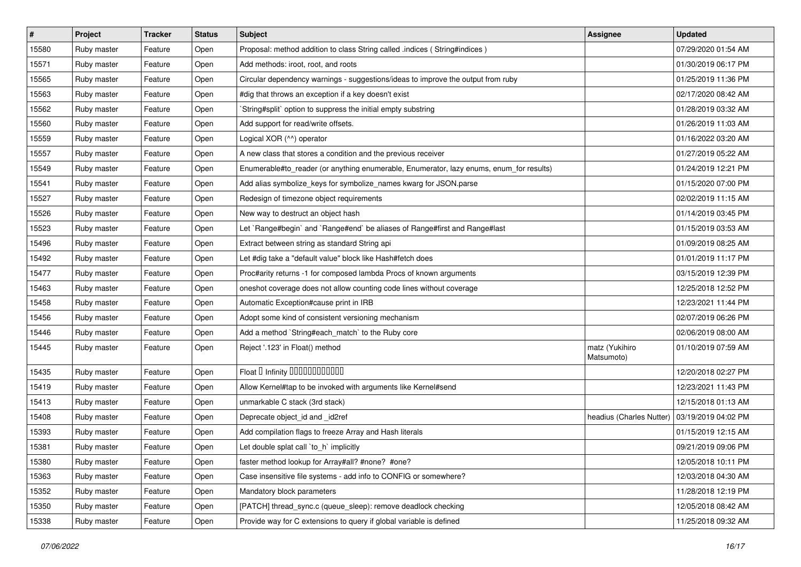| #     | Project     | <b>Tracker</b> | <b>Status</b> | <b>Subject</b>                                                                          | Assignee                     | <b>Updated</b>      |
|-------|-------------|----------------|---------------|-----------------------------------------------------------------------------------------|------------------------------|---------------------|
| 15580 | Ruby master | Feature        | Open          | Proposal: method addition to class String called .indices (String#indices)              |                              | 07/29/2020 01:54 AM |
| 15571 | Ruby master | Feature        | Open          | Add methods: iroot, root, and roots                                                     |                              | 01/30/2019 06:17 PM |
| 15565 | Ruby master | Feature        | Open          | Circular dependency warnings - suggestions/ideas to improve the output from ruby        |                              | 01/25/2019 11:36 PM |
| 15563 | Ruby master | Feature        | Open          | #dig that throws an exception if a key doesn't exist                                    |                              | 02/17/2020 08:42 AM |
| 15562 | Ruby master | Feature        | Open          | String#split` option to suppress the initial empty substring                            |                              | 01/28/2019 03:32 AM |
| 15560 | Ruby master | Feature        | Open          | Add support for read/write offsets.                                                     |                              | 01/26/2019 11:03 AM |
| 15559 | Ruby master | Feature        | Open          | Logical XOR (^^) operator                                                               |                              | 01/16/2022 03:20 AM |
| 15557 | Ruby master | Feature        | Open          | A new class that stores a condition and the previous receiver                           |                              | 01/27/2019 05:22 AM |
| 15549 | Ruby master | Feature        | Open          | Enumerable#to_reader (or anything enumerable, Enumerator, lazy enums, enum_for results) |                              | 01/24/2019 12:21 PM |
| 15541 | Ruby master | Feature        | Open          | Add alias symbolize_keys for symbolize_names kwarg for JSON.parse                       |                              | 01/15/2020 07:00 PM |
| 15527 | Ruby master | Feature        | Open          | Redesign of timezone object requirements                                                |                              | 02/02/2019 11:15 AM |
| 15526 | Ruby master | Feature        | Open          | New way to destruct an object hash                                                      |                              | 01/14/2019 03:45 PM |
| 15523 | Ruby master | Feature        | Open          | Let `Range#begin` and `Range#end` be aliases of Range#first and Range#last              |                              | 01/15/2019 03:53 AM |
| 15496 | Ruby master | Feature        | Open          | Extract between string as standard String api                                           |                              | 01/09/2019 08:25 AM |
| 15492 | Ruby master | Feature        | Open          | Let #dig take a "default value" block like Hash#fetch does                              |                              | 01/01/2019 11:17 PM |
| 15477 | Ruby master | Feature        | Open          | Proc#arity returns -1 for composed lambda Procs of known arguments                      |                              | 03/15/2019 12:39 PM |
| 15463 | Ruby master | Feature        | Open          | oneshot coverage does not allow counting code lines without coverage                    |                              | 12/25/2018 12:52 PM |
| 15458 | Ruby master | Feature        | Open          | Automatic Exception#cause print in IRB                                                  |                              | 12/23/2021 11:44 PM |
| 15456 | Ruby master | Feature        | Open          | Adopt some kind of consistent versioning mechanism                                      |                              | 02/07/2019 06:26 PM |
| 15446 | Ruby master | Feature        | Open          | Add a method `String#each_match` to the Ruby core                                       |                              | 02/06/2019 08:00 AM |
| 15445 | Ruby master | Feature        | Open          | Reject '.123' in Float() method                                                         | matz (Yukihiro<br>Matsumoto) | 01/10/2019 07:59 AM |
| 15435 | Ruby master | Feature        | Open          | Float D Infinity 000000000000                                                           |                              | 12/20/2018 02:27 PM |
| 15419 | Ruby master | Feature        | Open          | Allow Kernel#tap to be invoked with arguments like Kernel#send                          |                              | 12/23/2021 11:43 PM |
| 15413 | Ruby master | Feature        | Open          | unmarkable C stack (3rd stack)                                                          |                              | 12/15/2018 01:13 AM |
| 15408 | Ruby master | Feature        | Open          | Deprecate object_id and _id2ref                                                         | headius (Charles Nutter)     | 03/19/2019 04:02 PM |
| 15393 | Ruby master | Feature        | Open          | Add compilation flags to freeze Array and Hash literals                                 |                              | 01/15/2019 12:15 AM |
| 15381 | Ruby master | Feature        | Open          | Let double splat call 'to_h' implicitly                                                 |                              | 09/21/2019 09:06 PM |
| 15380 | Ruby master | Feature        | Open          | faster method lookup for Array#all? #none? #one?                                        |                              | 12/05/2018 10:11 PM |
| 15363 | Ruby master | Feature        | Open          | Case insensitive file systems - add info to CONFIG or somewhere?                        |                              | 12/03/2018 04:30 AM |
| 15352 | Ruby master | Feature        | Open          | Mandatory block parameters                                                              |                              | 11/28/2018 12:19 PM |
| 15350 | Ruby master | Feature        | Open          | [PATCH] thread_sync.c (queue_sleep): remove deadlock checking                           |                              | 12/05/2018 08:42 AM |
| 15338 | Ruby master | Feature        | Open          | Provide way for C extensions to query if global variable is defined                     |                              | 11/25/2018 09:32 AM |